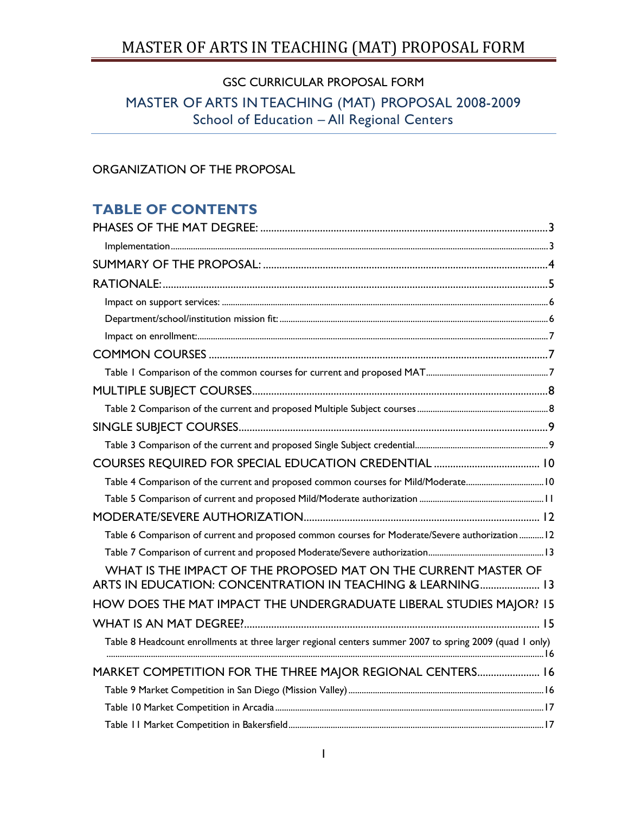# GSC CURRICULAR PROPOSAL FORM

# MASTER OF ARTS IN TEACHING (MAT) PROPOSAL 2008-2009 School of Education – All Regional Centers

# ORGANIZATION OF THE PROPOSAL

# **TABLE OF CONTENTS**

| Table 4 Comparison of the current and proposed common courses for Mild/Moderate10                                             |  |
|-------------------------------------------------------------------------------------------------------------------------------|--|
|                                                                                                                               |  |
|                                                                                                                               |  |
| Table 6 Comparison of current and proposed common courses for Moderate/Severe authorization  12                               |  |
|                                                                                                                               |  |
| WHAT IS THE IMPACT OF THE PROPOSED MAT ON THE CURRENT MASTER OF<br>ARTS IN EDUCATION: CONCENTRATION IN TEACHING & LEARNING 13 |  |
| HOW DOES THE MAT IMPACT THE UNDERGRADUATE LIBERAL STUDIES MAJOR? 15                                                           |  |
|                                                                                                                               |  |
| Table 8 Headcount enrollments at three larger regional centers summer 2007 to spring 2009 (quad 1 only)                       |  |
| MARKET COMPETITION FOR THE THREE MAJOR REGIONAL CENTERS 16                                                                    |  |
|                                                                                                                               |  |
|                                                                                                                               |  |
|                                                                                                                               |  |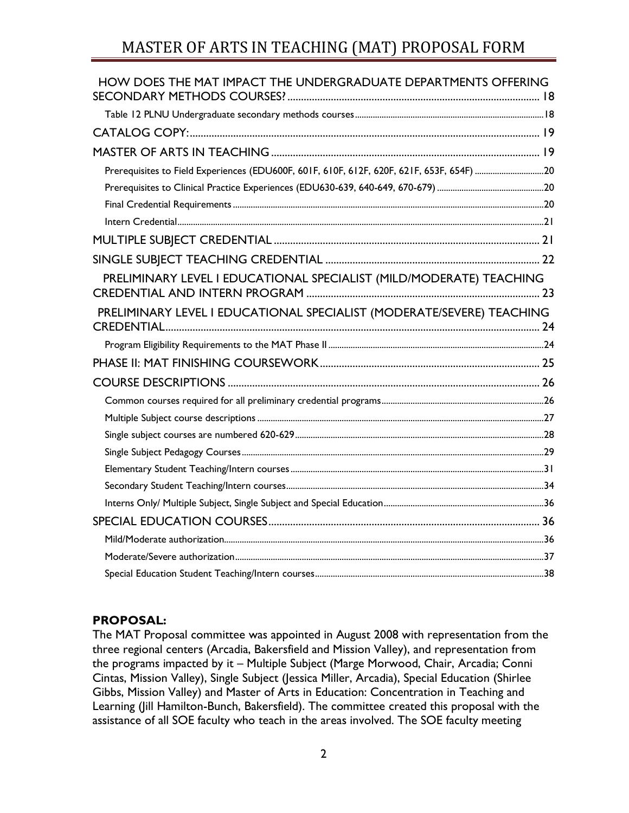| HOW DOES THE MAT IMPACT THE UNDERGRADUATE DEPARTMENTS OFFERING        |  |
|-----------------------------------------------------------------------|--|
|                                                                       |  |
|                                                                       |  |
|                                                                       |  |
|                                                                       |  |
|                                                                       |  |
|                                                                       |  |
|                                                                       |  |
|                                                                       |  |
|                                                                       |  |
| PRELIMINARY LEVEL I EDUCATIONAL SPECIALIST (MILD/MODERATE) TEACHING   |  |
| PRELIMINARY LEVEL I EDUCATIONAL SPECIALIST (MODERATE/SEVERE) TEACHING |  |
|                                                                       |  |
|                                                                       |  |
|                                                                       |  |
|                                                                       |  |
|                                                                       |  |
|                                                                       |  |
|                                                                       |  |
|                                                                       |  |
|                                                                       |  |
|                                                                       |  |
|                                                                       |  |
|                                                                       |  |
|                                                                       |  |
|                                                                       |  |

## **PROPOSAL:**

The MAT Proposal committee was appointed in August 2008 with representation from the three regional centers (Arcadia, Bakersfield and Mission Valley), and representation from the programs impacted by it – Multiple Subject (Marge Morwood, Chair, Arcadia; Conni Cintas, Mission Valley), Single Subject (Jessica Miller, Arcadia), Special Education (Shirlee Gibbs, Mission Valley) and Master of Arts in Education: Concentration in Teaching and Learning (Jill Hamilton-Bunch, Bakersfield). The committee created this proposal with the assistance of all SOE faculty who teach in the areas involved. The SOE faculty meeting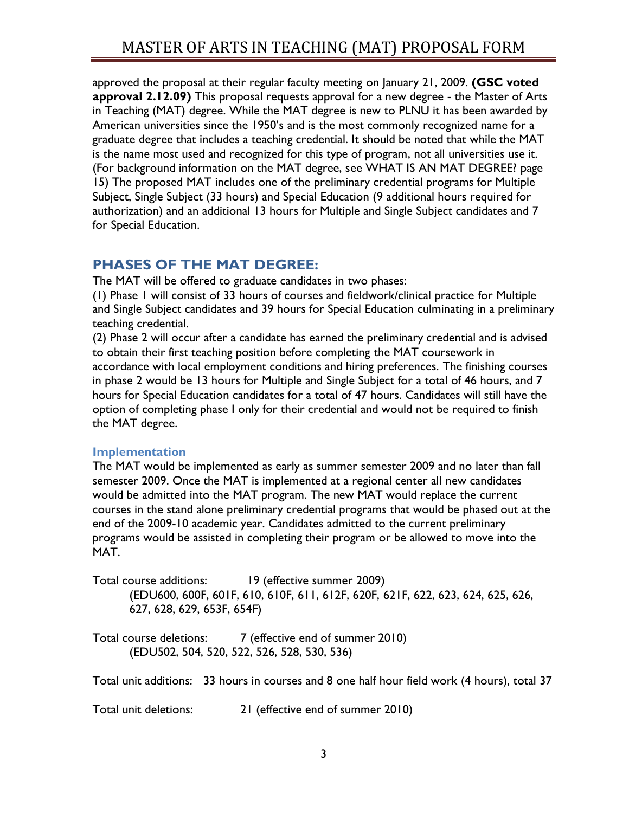approved the proposal at their regular faculty meeting on January 21, 2009. **(GSC voted approval 2.12.09)** This proposal requests approval for a new degree - the Master of Arts in Teaching (MAT) degree. While the MAT degree is new to PLNU it has been awarded by American universities since the 1950's and is the most commonly recognized name for a graduate degree that includes a teaching credential. It should be noted that while the MAT is the name most used and recognized for this type of program, not all universities use it. (For background information on the MAT degree, see [WHAT IS AN MAT DEGREE?](#page-14-1) page [15\)](#page-14-1) The proposed MAT includes one of the preliminary credential programs for Multiple Subject, Single Subject (33 hours) and Special Education (9 additional hours required for authorization) and an additional 13 hours for Multiple and Single Subject candidates and 7 for Special Education.

# <span id="page-2-0"></span>**PHASES OF THE MAT DEGREE:**

The MAT will be offered to graduate candidates in two phases:

(1) Phase 1 will consist of 33 hours of courses and fieldwork/clinical practice for Multiple and Single Subject candidates and 39 hours for Special Education culminating in a preliminary teaching credential.

(2) Phase 2 will occur after a candidate has earned the preliminary credential and is advised to obtain their first teaching position before completing the MAT coursework in accordance with local employment conditions and hiring preferences. The finishing courses in phase 2 would be 13 hours for Multiple and Single Subject for a total of 46 hours, and 7 hours for Special Education candidates for a total of 47 hours. Candidates will still have the option of completing phase I only for their credential and would not be required to finish the MAT degree.

## <span id="page-2-1"></span>**Implementation**

The MAT would be implemented as early as summer semester 2009 and no later than fall semester 2009. Once the MAT is implemented at a regional center all new candidates would be admitted into the MAT program. The new MAT would replace the current courses in the stand alone preliminary credential programs that would be phased out at the end of the 2009-10 academic year. Candidates admitted to the current preliminary programs would be assisted in completing their program or be allowed to move into the MAT.

Total course additions: 19 (effective summer 2009) (EDU600, 600F, 601F, 610, 610F, 611, 612F, 620F, 621F, 622, 623, 624, 625, 626, 627, 628, 629, 653F, 654F)

Total course deletions: 7 (effective end of summer 2010) (EDU502, 504, 520, 522, 526, 528, 530, 536)

Total unit additions: 33 hours in courses and 8 one half hour field work (4 hours), total 37

Total unit deletions: 21 (effective end of summer 2010)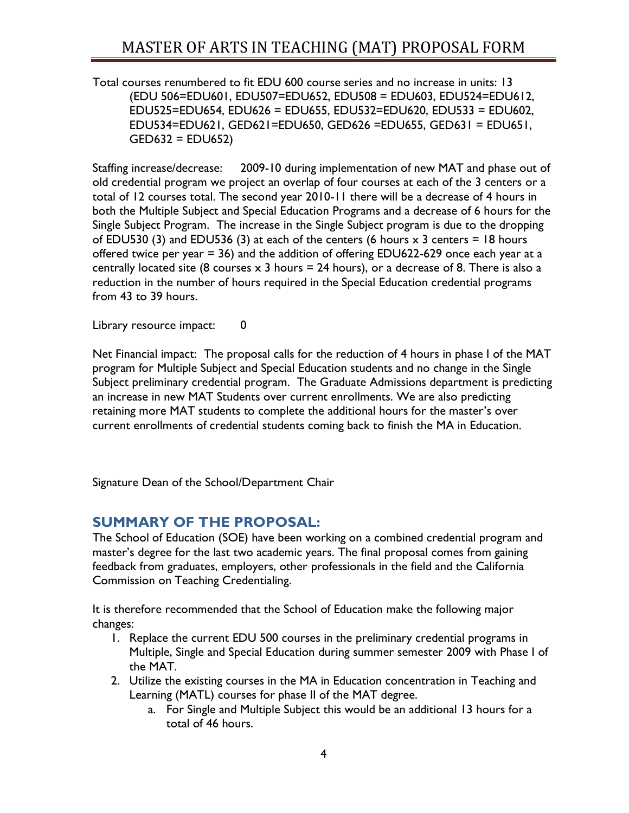Total courses renumbered to fit EDU 600 course series and no increase in units: 13 (EDU 506=EDU601, EDU507=EDU652, EDU508 = EDU603, EDU524=EDU612, EDU525=EDU654, EDU626 = EDU655, EDU532=EDU620, EDU533 = EDU602, EDU534=EDU621, GED621=EDU650, GED626 =EDU655, GED631 = EDU651, GED632 = EDU652)

Staffing increase/decrease: 2009-10 during implementation of new MAT and phase out of old credential program we project an overlap of four courses at each of the 3 centers or a total of 12 courses total. The second year 2010-11 there will be a decrease of 4 hours in both the Multiple Subject and Special Education Programs and a decrease of 6 hours for the Single Subject Program. The increase in the Single Subject program is due to the dropping of EDU530 (3) and EDU536 (3) at each of the centers (6 hours  $\times$  3 centers = 18 hours offered twice per year = 36) and the addition of offering EDU622-629 once each year at a centrally located site (8 courses  $\times$  3 hours = 24 hours), or a decrease of 8. There is also a reduction in the number of hours required in the Special Education credential programs from 43 to 39 hours.

Library resource impact: 0

Net Financial impact: The proposal calls for the reduction of 4 hours in phase I of the MAT program for Multiple Subject and Special Education students and no change in the Single Subject preliminary credential program. The Graduate Admissions department is predicting an increase in new MAT Students over current enrollments. We are also predicting retaining more MAT students to complete the additional hours for the master's over current enrollments of credential students coming back to finish the MA in Education.

<span id="page-3-0"></span>Signature Dean of the School/Department Chair

# **SUMMARY OF THE PROPOSAL:**

The School of Education (SOE) have been working on a combined credential program and master's degree for the last two academic years. The final proposal comes from gaining feedback from graduates, employers, other professionals in the field and the California Commission on Teaching Credentialing.

It is therefore recommended that the School of Education make the following major changes:

- 1. Replace the current EDU 500 courses in the preliminary credential programs in Multiple, Single and Special Education during summer semester 2009 with Phase I of the MAT.
- 2. Utilize the existing courses in the MA in Education concentration in Teaching and Learning (MATL) courses for phase II of the MAT degree.
	- a. For Single and Multiple Subject this would be an additional 13 hours for a total of 46 hours.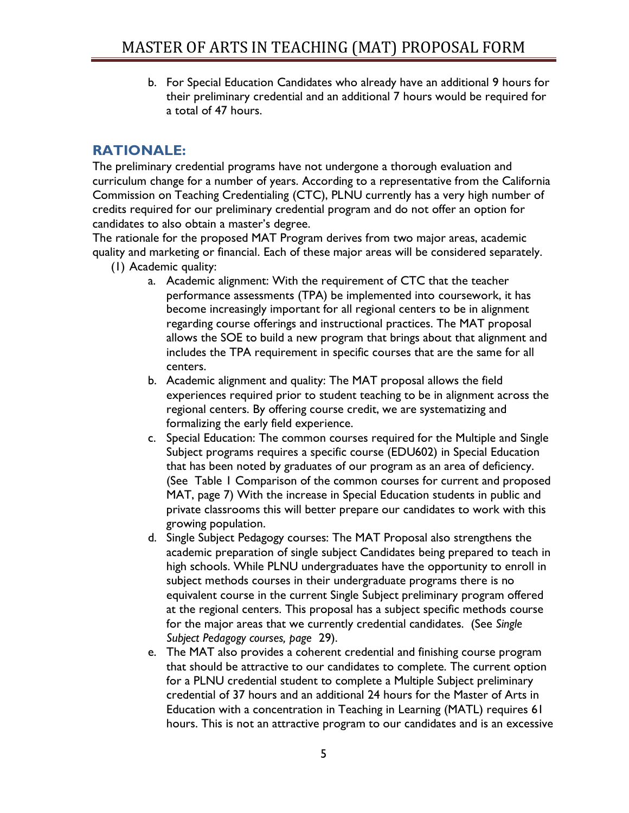b. For Special Education Candidates who already have an additional 9 hours for their preliminary credential and an additional 7 hours would be required for a total of 47 hours.

# <span id="page-4-0"></span>**RATIONALE:**

The preliminary credential programs have not undergone a thorough evaluation and curriculum change for a number of years. According to a representative from the California Commission on Teaching Credentialing (CTC), PLNU currently has a very high number of credits required for our preliminary credential program and do not offer an option for candidates to also obtain a master's degree.

The rationale for the proposed MAT Program derives from two major areas, academic quality and marketing or financial. Each of these major areas will be considered separately.

- (1) Academic quality:
	- a. Academic alignment: With the requirement of CTC that the teacher performance assessments (TPA) be implemented into coursework, it has become increasingly important for all regional centers to be in alignment regarding course offerings and instructional practices. The MAT proposal allows the SOE to build a new program that brings about that alignment and includes the TPA requirement in specific courses that are the same for all centers.
	- b. Academic alignment and quality: The MAT proposal allows the field experiences required prior to student teaching to be in alignment across the regional centers. By offering course credit, we are systematizing and formalizing the early field experience.
	- c. Special Education: The common courses required for the Multiple and Single Subject programs requires a specific course (EDU602) in Special Education that has been noted by graduates of our program as an area of deficiency. (See [Table 1 Comparison of the common courses for current and proposed](#page-6-2)  [MAT,](#page-6-2) page 7) With the increase in Special Education students in public and private classrooms this will better prepare our candidates to work with this growing population.
	- d. Single Subject Pedagogy courses: The MAT Proposal also strengthens the academic preparation of single subject Candidates being prepared to teach in high schools. While PLNU undergraduates have the opportunity to enroll in subject methods courses in their undergraduate programs there is no equivalent course in the current Single Subject preliminary program offered at the regional centers. This proposal has a subject specific methods course for the major areas that we currently credential candidates. (See *Single Subject Pedagogy courses, page* [29\)](#page-28-1).
	- e. The MAT also provides a coherent credential and finishing course program that should be attractive to our candidates to complete. The current option for a PLNU credential student to complete a Multiple Subject preliminary credential of 37 hours and an additional 24 hours for the Master of Arts in Education with a concentration in Teaching in Learning (MATL) requires 61 hours. This is not an attractive program to our candidates and is an excessive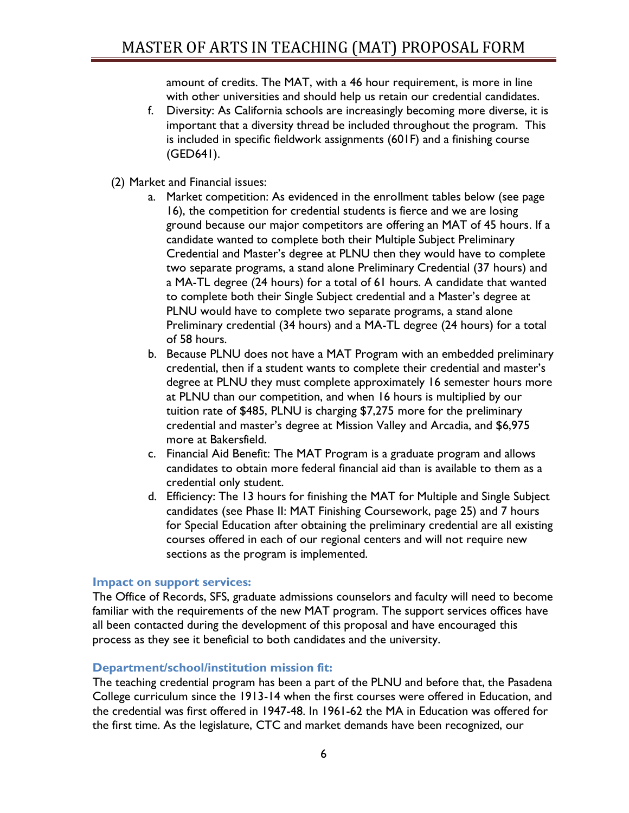amount of credits. The MAT, with a 46 hour requirement, is more in line with other universities and should help us retain our credential candidates.

- f. Diversity: As California schools are increasingly becoming more diverse, it is important that a diversity thread be included throughout the program. This is included in specific fieldwork assignments (601F) and a finishing course (GED641).
- (2) Market and Financial issues:
	- a. Market competition: As evidenced in the enrollment tables below (see page [16\)](#page-15-0), the competition for credential students is fierce and we are losing ground because our major competitors are offering an MAT of 45 hours. If a candidate wanted to complete both their Multiple Subject Preliminary Credential and Master's degree at PLNU then they would have to complete two separate programs, a stand alone Preliminary Credential (37 hours) and a MA-TL degree (24 hours) for a total of 61 hours. A candidate that wanted to complete both their Single Subject credential and a Master's degree at PLNU would have to complete two separate programs, a stand alone Preliminary credential (34 hours) and a MA-TL degree (24 hours) for a total of 58 hours.
	- b. Because PLNU does not have a MAT Program with an embedded preliminary credential, then if a student wants to complete their credential and master's degree at PLNU they must complete approximately 16 semester hours more at PLNU than our competition, and when 16 hours is multiplied by our tuition rate of \$485, PLNU is charging \$7,275 more for the preliminary credential and master's degree at Mission Valley and Arcadia, and \$6,975 more at Bakersfield.
	- c. Financial Aid Benefit: The MAT Program is a graduate program and allows candidates to obtain more federal financial aid than is available to them as a credential only student.
	- d. Efficiency: The 13 hours for finishing the MAT for Multiple and Single Subject candidates (see [Phase II: MAT Finishing Coursework,](#page-24-0) page 25) and 7 hours for Special Education after obtaining the preliminary credential are all existing courses offered in each of our regional centers and will not require new sections as the program is implemented.

### <span id="page-5-0"></span>**Impact on support services:**

The Office of Records, SFS, graduate admissions counselors and faculty will need to become familiar with the requirements of the new MAT program. The support services offices have all been contacted during the development of this proposal and have encouraged this process as they see it beneficial to both candidates and the university.

### <span id="page-5-1"></span>**Department/school/institution mission fit:**

The teaching credential program has been a part of the PLNU and before that, the Pasadena College curriculum since the 1913-14 when the first courses were offered in Education, and the credential was first offered in 1947-48. In 1961-62 the MA in Education was offered for the first time. As the legislature, CTC and market demands have been recognized, our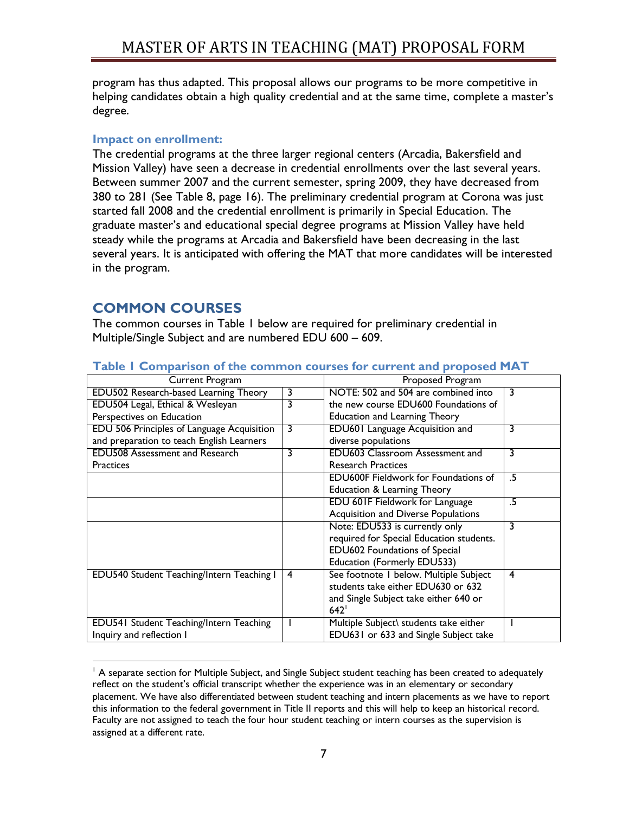program has thus adapted. This proposal allows our programs to be more competitive in helping candidates obtain a high quality credential and at the same time, complete a master's degree.

## <span id="page-6-0"></span>**Impact on enrollment:**

The credential programs at the three larger regional centers (Arcadia, Bakersfield and Mission Valley) have seen a decrease in credential enrollments over the last several years. Between summer 2007 and the current semester, spring 2009, they have decreased from 380 to 281 (See Table 8, page [16\)](#page-15-0). The preliminary credential program at Corona was just started fall 2008 and the credential enrollment is primarily in Special Education. The graduate master's and educational special degree programs at Mission Valley have held steady while the programs at Arcadia and Bakersfield have been decreasing in the last several years. It is anticipated with offering the MAT that more candidates will be interested in the program.

# <span id="page-6-1"></span>**COMMON COURSES**

The common courses in Table 1 below are required for preliminary credential in Multiple/Single Subject and are numbered EDU 600 – 609.

| Current Program                                |   | <b>Proposed Program</b>                     |    |
|------------------------------------------------|---|---------------------------------------------|----|
| EDU502 Research-based Learning Theory          | 3 | NOTE: 502 and 504 are combined into         | 3  |
| EDU504 Legal, Ethical & Wesleyan               | 3 | the new course EDU600 Foundations of        |    |
| Perspectives on Education                      |   | <b>Education and Learning Theory</b>        |    |
| EDU 506 Principles of Language Acquisition     | 3 | EDU601 Language Acquisition and             | 3  |
| and preparation to teach English Learners      |   | diverse populations                         |    |
| <b>EDU508 Assessment and Research</b>          | 3 | <b>EDU603 Classroom Assessment and</b>      | 3  |
| <b>Practices</b>                               |   | <b>Research Practices</b>                   |    |
|                                                |   | <b>EDU600F Fieldwork for Foundations of</b> | .5 |
|                                                |   | <b>Education &amp; Learning Theory</b>      |    |
|                                                |   | EDU 601F Fieldwork for Language             | .5 |
|                                                |   | Acquisition and Diverse Populations         |    |
|                                                |   | Note: EDU533 is currently only              | 3  |
|                                                |   | required for Special Education students.    |    |
|                                                |   | EDU602 Foundations of Special               |    |
|                                                |   | Education (Formerly EDU533)                 |    |
| EDU540 Student Teaching/Intern Teaching I      | 4 | See footnote I below. Multiple Subject      | 4  |
|                                                |   | students take either EDU630 or 632          |    |
|                                                |   | and Single Subject take either 640 or       |    |
|                                                |   | 642                                         |    |
| <b>EDU541 Student Teaching/Intern Teaching</b> |   | Multiple Subject\ students take either      |    |
| Inquiry and reflection I                       |   | EDU631 or 633 and Single Subject take       |    |

### <span id="page-6-2"></span>**Table 1 Comparison of the common courses for current and proposed MAT**

 $\overline{a}$ <sup>1</sup> A separate section for Multiple Subject, and Single Subject student teaching has been created to adequately reflect on the student's official transcript whether the experience was in an elementary or secondary placement. We have also differentiated between student teaching and intern placements as we have to report this information to the federal government in Title II reports and this will help to keep an historical record. Faculty are not assigned to teach the four hour student teaching or intern courses as the supervision is assigned at a different rate.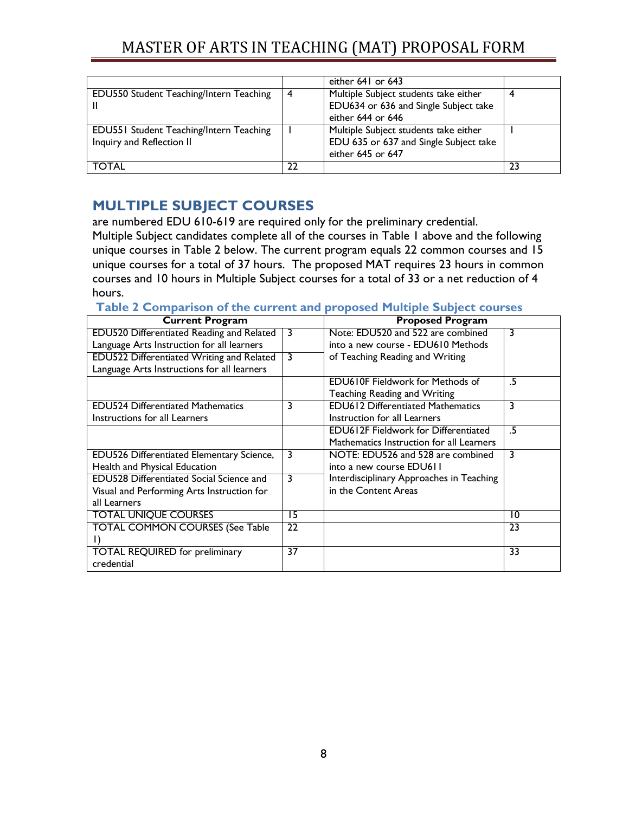|                                         |    | either 641 or 643                                          |    |
|-----------------------------------------|----|------------------------------------------------------------|----|
| EDU550 Student Teaching/Intern Teaching | 4  | Multiple Subject students take either                      |    |
|                                         |    | EDU634 or 636 and Single Subject take<br>either 644 or 646 |    |
| EDU551 Student Teaching/Intern Teaching |    | Multiple Subject students take either                      |    |
| Inquiry and Reflection II               |    | EDU 635 or 637 and Single Subject take                     |    |
|                                         |    | either 645 or 647                                          |    |
| <b>TOTAL</b>                            | 22 |                                                            | 23 |

# <span id="page-7-0"></span>**MULTIPLE SUBJECT COURSES**

are numbered EDU 610-619 are required only for the preliminary credential. Multiple Subject candidates complete all of the courses in Table 1 above and the following unique courses in Table 2 below. The current program equals 22 common courses and 15 unique courses for a total of 37 hours. The proposed MAT requires 23 hours in common courses and 10 hours in Multiple Subject courses for a total of 33 or a net reduction of 4 hours.

### <span id="page-7-1"></span>**Table 2 Comparison of the current and proposed Multiple Subject courses**

| <b>Current Program</b>                          |    | <b>Proposed Program</b>                     |    |
|-------------------------------------------------|----|---------------------------------------------|----|
| EDU520 Differentiated Reading and Related       | 3  | Note: EDU520 and 522 are combined           | 3  |
| Language Arts Instruction for all learners      |    | into a new course - EDU610 Methods          |    |
| EDU522 Differentiated Writing and Related       | 3  | of Teaching Reading and Writing             |    |
| Language Arts Instructions for all learners     |    |                                             |    |
|                                                 |    | <b>EDU610F Fieldwork for Methods of</b>     | .5 |
|                                                 |    | Teaching Reading and Writing                |    |
| <b>EDU524 Differentiated Mathematics</b>        | 3  | <b>EDU612 Differentiated Mathematics</b>    | 3  |
| Instructions for all Learners                   |    | Instruction for all Learners                |    |
|                                                 |    | <b>EDU612F Fieldwork for Differentiated</b> | .5 |
|                                                 |    | Mathematics Instruction for all Learners    |    |
| EDU526 Differentiated Elementary Science,       | 3  | NOTE: EDU526 and 528 are combined           | 3  |
| Health and Physical Education                   |    | into a new course EDU611                    |    |
| <b>EDU528 Differentiated Social Science and</b> | 3  | Interdisciplinary Approaches in Teaching    |    |
| Visual and Performing Arts Instruction for      |    | in the Content Areas                        |    |
| all Learners                                    |    |                                             |    |
| <b>TOTAL UNIQUE COURSES</b>                     | 15 |                                             | 10 |
| <b>TOTAL COMMON COURSES (See Table</b>          | 22 |                                             | 23 |
| $\Box$                                          |    |                                             |    |
| <b>TOTAL REQUIRED</b> for preliminary           | 37 |                                             | 33 |
| credential                                      |    |                                             |    |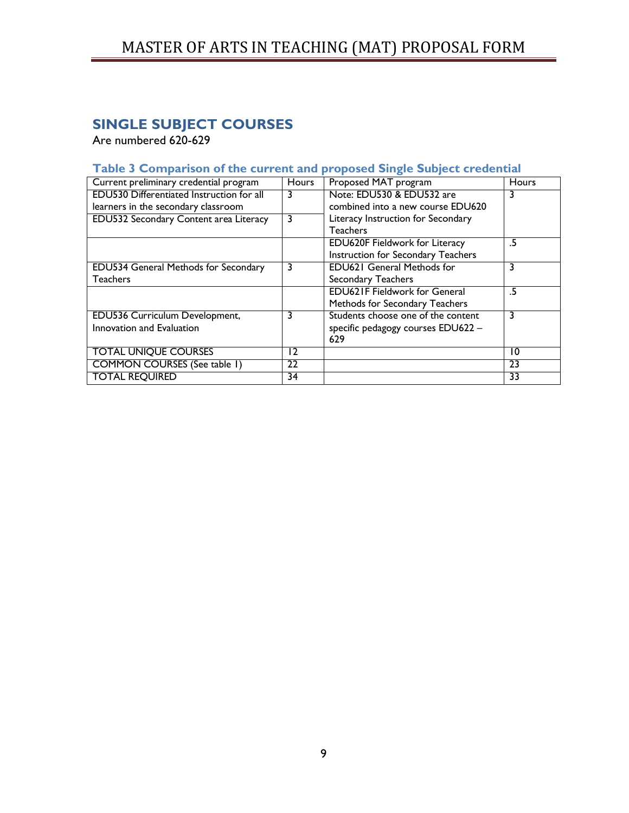# <span id="page-8-0"></span>**SINGLE SUBJECT COURSES**

Are numbered 620-629

# <span id="page-8-1"></span>**Table 3 Comparison of the current and proposed Single Subject credential**

| Current preliminary credential program    | Hours | Proposed MAT program                  | <b>Hours</b> |
|-------------------------------------------|-------|---------------------------------------|--------------|
| EDU530 Differentiated Instruction for all | 3     | Note: EDU530 & EDU532 are             |              |
| learners in the secondary classroom       |       | combined into a new course EDU620     |              |
| EDU532 Secondary Content area Literacy    | 3     | Literacy Instruction for Secondary    |              |
|                                           |       | <b>Teachers</b>                       |              |
|                                           |       | <b>EDU620F Fieldwork for Literacy</b> | .5           |
|                                           |       | Instruction for Secondary Teachers    |              |
| EDU534 General Methods for Secondary      | 3     | <b>EDU621 General Methods for</b>     | 3            |
| <b>Teachers</b>                           |       | Secondary Teachers                    |              |
|                                           |       | <b>EDU621F Fieldwork for General</b>  | .5           |
|                                           |       | Methods for Secondary Teachers        |              |
| EDU536 Curriculum Development,            | 3     | Students choose one of the content    | 3            |
| Innovation and Evaluation                 |       | specific pedagogy courses EDU622 -    |              |
|                                           |       | 629                                   |              |
| <b>TOTAL UNIQUE COURSES</b>               | 12    |                                       | 10           |
| <b>COMMON COURSES (See table 1)</b>       | 22    |                                       | 23           |
| <b>TOTAL REQUIRED</b>                     | 34    |                                       | 33           |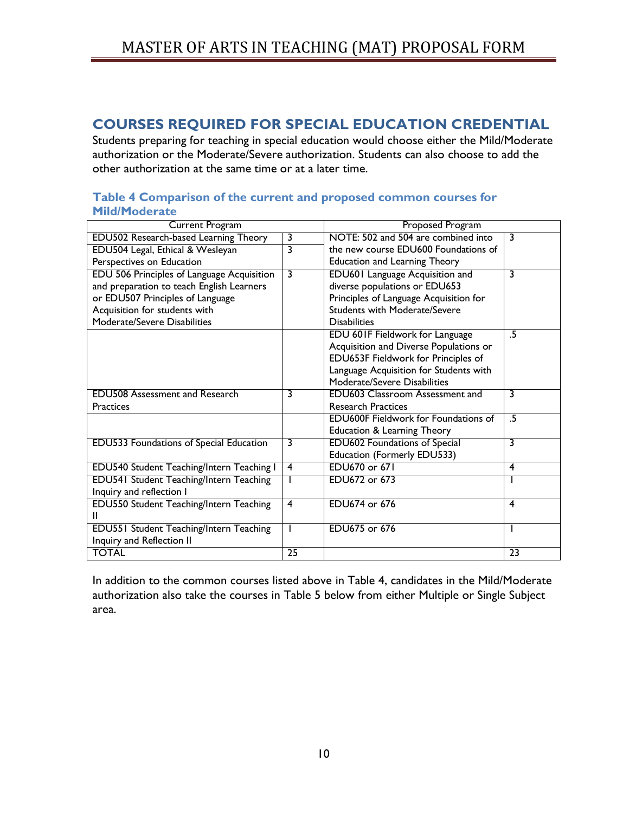# <span id="page-9-0"></span>**COURSES REQUIRED FOR SPECIAL EDUCATION CREDENTIAL**

Students preparing for teaching in special education would choose either the Mild/Moderate authorization or the Moderate/Severe authorization. Students can also choose to add the other authorization at the same time or at a later time.

#### <span id="page-9-1"></span>**Table 4 Comparison of the current and proposed common courses for Mild/Moderate**

| <b>Current Program</b>                         |    | <b>Proposed Program</b>                     |    |
|------------------------------------------------|----|---------------------------------------------|----|
| EDU502 Research-based Learning Theory          | 3  | NOTE: 502 and 504 are combined into         | 3  |
| EDU504 Legal, Ethical & Wesleyan               | 3  | the new course EDU600 Foundations of        |    |
| Perspectives on Education                      |    | <b>Education and Learning Theory</b>        |    |
| EDU 506 Principles of Language Acquisition     | 3  | EDU601 Language Acquisition and             | 3  |
| and preparation to teach English Learners      |    | diverse populations or EDU653               |    |
| or EDU507 Principles of Language               |    | Principles of Language Acquisition for      |    |
| Acquisition for students with                  |    | <b>Students with Moderate/Severe</b>        |    |
| Moderate/Severe Disabilities                   |    | <b>Disabilities</b>                         |    |
|                                                |    | EDU 601F Fieldwork for Language             | .5 |
|                                                |    | Acquisition and Diverse Populations or      |    |
|                                                |    | EDU653F Fieldwork for Principles of         |    |
|                                                |    | Language Acquisition for Students with      |    |
|                                                |    | Moderate/Severe Disabilities                |    |
| <b>EDU508 Assessment and Research</b>          | 3  | EDU603 Classroom Assessment and             | 3  |
| <b>Practices</b>                               |    | <b>Research Practices</b>                   |    |
|                                                |    | <b>EDU600F Fieldwork for Foundations of</b> | .5 |
|                                                |    | <b>Education &amp; Learning Theory</b>      |    |
| EDU533 Foundations of Special Education        | 3  | <b>EDU602 Foundations of Special</b>        | 3  |
|                                                |    | Education (Formerly EDU533)                 |    |
| EDU540 Student Teaching/Intern Teaching I      | 4  | EDU670 or 671                               | 4  |
| <b>EDU541 Student Teaching/Intern Teaching</b> |    | EDU672 or 673                               |    |
| Inquiry and reflection I                       |    |                                             |    |
| EDU550 Student Teaching/Intern Teaching        | 4  | EDU674 or 676                               | 4  |
|                                                |    |                                             |    |
| <b>EDU551 Student Teaching/Intern Teaching</b> |    | EDU675 or 676                               |    |
| Inquiry and Reflection II                      |    |                                             |    |
| <b>TOTAL</b>                                   | 25 |                                             | 23 |

In addition to the common courses listed above in Table 4, candidates in the Mild/Moderate authorization also take the courses in Table 5 below from either Multiple or Single Subject area.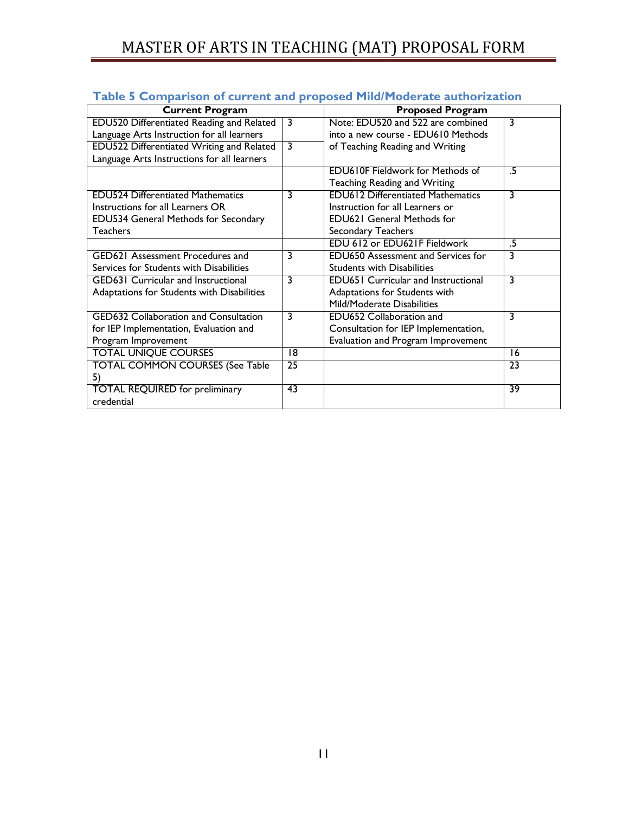| <u>Companion of carriers</u> and proposed interfere |    |                                            |    |
|-----------------------------------------------------|----|--------------------------------------------|----|
| <b>Current Program</b>                              |    | <b>Proposed Program</b>                    |    |
| EDU520 Differentiated Reading and Related           | 3  | Note: EDU520 and 522 are combined          | 3  |
| Language Arts Instruction for all learners          |    | into a new course - EDU610 Methods         |    |
| EDU522 Differentiated Writing and Related           | 3  | of Teaching Reading and Writing            |    |
| Language Arts Instructions for all learners         |    |                                            |    |
|                                                     |    | <b>EDU610F Fieldwork for Methods of</b>    | .5 |
|                                                     |    | Teaching Reading and Writing               |    |
| <b>EDU524 Differentiated Mathematics</b>            | 3  | <b>EDU612 Differentiated Mathematics</b>   | 3  |
| Instructions for all Learners OR                    |    | Instruction for all Learners or            |    |
| EDU534 General Methods for Secondary                |    | <b>EDU621 General Methods for</b>          |    |
| <b>Teachers</b>                                     |    | Secondary Teachers                         |    |
|                                                     |    | EDU 612 or EDU621F Fieldwork               | .5 |
| <b>GED621 Assessment Procedures and</b>             | 3  | <b>EDU650 Assessment and Services for</b>  | 3  |
| Services for Students with Disabilities             |    | <b>Students with Disabilities</b>          |    |
| <b>GED631 Curricular and Instructional</b>          | 3  | <b>EDU651 Curricular and Instructional</b> | 3  |
| Adaptations for Students with Disabilities          |    | Adaptations for Students with              |    |
|                                                     |    | Mild/Moderate Disabilities                 |    |
| <b>GED632 Collaboration and Consultation</b>        | 3  | EDU652 Collaboration and                   | 3  |
| for IEP Implementation, Evaluation and              |    | Consultation for IEP Implementation,       |    |
| Program Improvement                                 |    | Evaluation and Program Improvement         |    |
| <b>TOTAL UNIQUE COURSES</b>                         | 18 |                                            | 16 |
| <b>TOTAL COMMON COURSES (See Table</b>              | 25 |                                            | 23 |
| 5)                                                  |    |                                            |    |
| <b>TOTAL REQUIRED for preliminary</b>               | 43 |                                            | 39 |
| credential                                          |    |                                            |    |

## <span id="page-10-0"></span>**Table 5 Comparison of current and proposed Mild/Moderate authorization**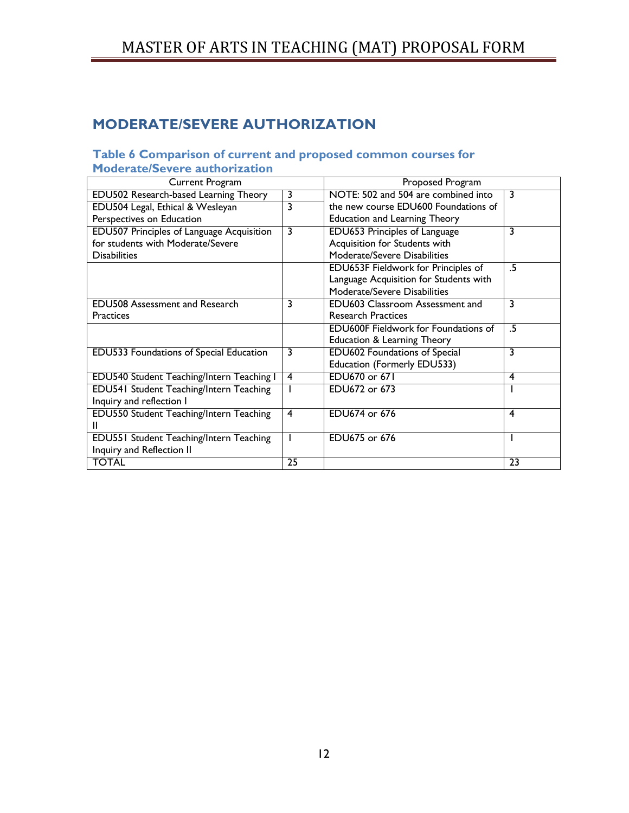# <span id="page-11-0"></span>**MODERATE/SEVERE AUTHORIZATION**

### <span id="page-11-1"></span>**Table 6 Comparison of current and proposed common courses for Moderate/Severe authorization**

| Current Program                                  | Proposed Program |                                             |    |
|--------------------------------------------------|------------------|---------------------------------------------|----|
| EDU502 Research-based Learning Theory            | 3                | NOTE: 502 and 504 are combined into         | 3  |
| EDU504 Legal, Ethical & Wesleyan                 | 3                | the new course EDU600 Foundations of        |    |
| Perspectives on Education                        |                  | <b>Education and Learning Theory</b>        |    |
| <b>EDU507 Principles of Language Acquisition</b> | 3                | EDU653 Principles of Language               | 3  |
| for students with Moderate/Severe                |                  | Acquisition for Students with               |    |
| <b>Disabilities</b>                              |                  | Moderate/Severe Disabilities                |    |
|                                                  |                  | EDU653F Fieldwork for Principles of         | .5 |
|                                                  |                  | Language Acquisition for Students with      |    |
|                                                  |                  | Moderate/Severe Disabilities                |    |
| <b>EDU508 Assessment and Research</b>            | 3                | <b>EDU603 Classroom Assessment and</b>      | 3  |
| <b>Practices</b>                                 |                  | <b>Research Practices</b>                   |    |
|                                                  |                  | <b>EDU600F</b> Fieldwork for Foundations of | .5 |
|                                                  |                  | <b>Education &amp; Learning Theory</b>      |    |
| EDU533 Foundations of Special Education          | 3                | <b>EDU602 Foundations of Special</b>        | 3  |
|                                                  |                  | Education (Formerly EDU533)                 |    |
| EDU540 Student Teaching/Intern Teaching I        | 4                | EDU670 or 671                               | 4  |
| EDU541 Student Teaching/Intern Teaching          |                  | EDU672 or 673                               |    |
| Inquiry and reflection I                         |                  |                                             |    |
| EDU550 Student Teaching/Intern Teaching          | $\overline{4}$   | EDU674 or 676                               | 4  |
| Ш                                                |                  |                                             |    |
| EDU551 Student Teaching/Intern Teaching          |                  | EDU675 or 676                               |    |
| Inquiry and Reflection II                        |                  |                                             |    |
| <b>TOTAL</b>                                     | 25               |                                             | 23 |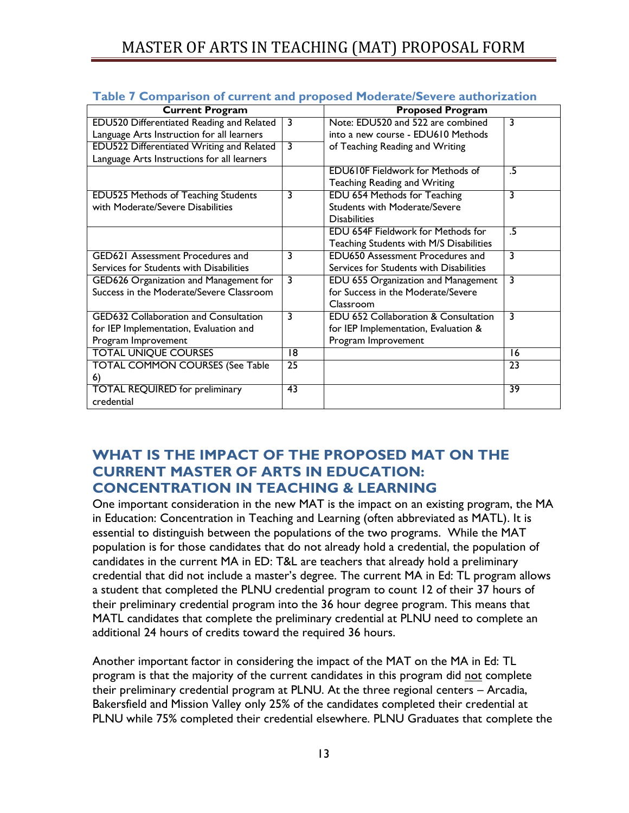| <b>TWEE A SUITPARTON OF CALL CITY AND PLOPOSCA FRONCHACOSCYCLC ANGHOLIZACION</b> |    |                                                 |    |
|----------------------------------------------------------------------------------|----|-------------------------------------------------|----|
| <b>Current Program</b>                                                           |    | <b>Proposed Program</b>                         |    |
| EDU520 Differentiated Reading and Related                                        | 3  | Note: EDU520 and 522 are combined               | 3  |
| Language Arts Instruction for all learners                                       |    | into a new course - EDU610 Methods              |    |
| <b>EDU522 Differentiated Writing and Related</b>                                 | 3  | of Teaching Reading and Writing                 |    |
| Language Arts Instructions for all learners                                      |    |                                                 |    |
|                                                                                  |    | <b>EDU610F Fieldwork for Methods of</b>         | .5 |
|                                                                                  |    | Teaching Reading and Writing                    |    |
| <b>EDU525 Methods of Teaching Students</b>                                       | 3  | EDU 654 Methods for Teaching                    | 3  |
| with Moderate/Severe Disabilities                                                |    | <b>Students with Moderate/Severe</b>            |    |
|                                                                                  |    | <b>Disabilities</b>                             |    |
|                                                                                  |    | <b>EDU 654F Fieldwork for Methods for</b>       | .5 |
|                                                                                  |    | Teaching Students with M/S Disabilities         |    |
| <b>GED621 Assessment Procedures and</b>                                          | 3  | <b>EDU650 Assessment Procedures and</b>         | 3  |
| Services for Students with Disabilities                                          |    | Services for Students with Disabilities         |    |
| GED626 Organization and Management for                                           | 3  | EDU 655 Organization and Management             | 3  |
| Success in the Moderate/Severe Classroom                                         |    | for Success in the Moderate/Severe              |    |
|                                                                                  |    | Classroom                                       |    |
| <b>GED632 Collaboration and Consultation</b>                                     | 3  | <b>EDU 652 Collaboration &amp; Consultation</b> | 3  |
| for IEP Implementation, Evaluation and                                           |    | for IEP Implementation, Evaluation &            |    |
| Program Improvement                                                              |    | Program Improvement                             |    |
| <b>TOTAL UNIQUE COURSES</b>                                                      | 18 |                                                 | 16 |
| <b>TOTAL COMMON COURSES (See Table</b>                                           | 25 |                                                 | 23 |
| 6)                                                                               |    |                                                 |    |
| <b>TOTAL REQUIRED for preliminary</b>                                            | 43 |                                                 | 39 |
| credential                                                                       |    |                                                 |    |

<span id="page-12-0"></span>

|  |  |  |  | Table 7 Comparison of current and proposed Moderate/Severe authorization |  |
|--|--|--|--|--------------------------------------------------------------------------|--|
|--|--|--|--|--------------------------------------------------------------------------|--|

# <span id="page-12-1"></span>**WHAT IS THE IMPACT OF THE PROPOSED MAT ON THE CURRENT MASTER OF ARTS IN EDUCATION: CONCENTRATION IN TEACHING & LEARNING**

One important consideration in the new MAT is the impact on an existing program, the MA in Education: Concentration in Teaching and Learning (often abbreviated as MATL). It is essential to distinguish between the populations of the two programs. While the MAT population is for those candidates that do not already hold a credential, the population of candidates in the current MA in ED: T&L are teachers that already hold a preliminary credential that did not include a master's degree. The current MA in Ed: TL program allows a student that completed the PLNU credential program to count 12 of their 37 hours of their preliminary credential program into the 36 hour degree program. This means that MATL candidates that complete the preliminary credential at PLNU need to complete an additional 24 hours of credits toward the required 36 hours.

Another important factor in considering the impact of the MAT on the MA in Ed: TL program is that the majority of the current candidates in this program did not complete their preliminary credential program at PLNU. At the three regional centers – Arcadia, Bakersfield and Mission Valley only 25% of the candidates completed their credential at PLNU while 75% completed their credential elsewhere. PLNU Graduates that complete the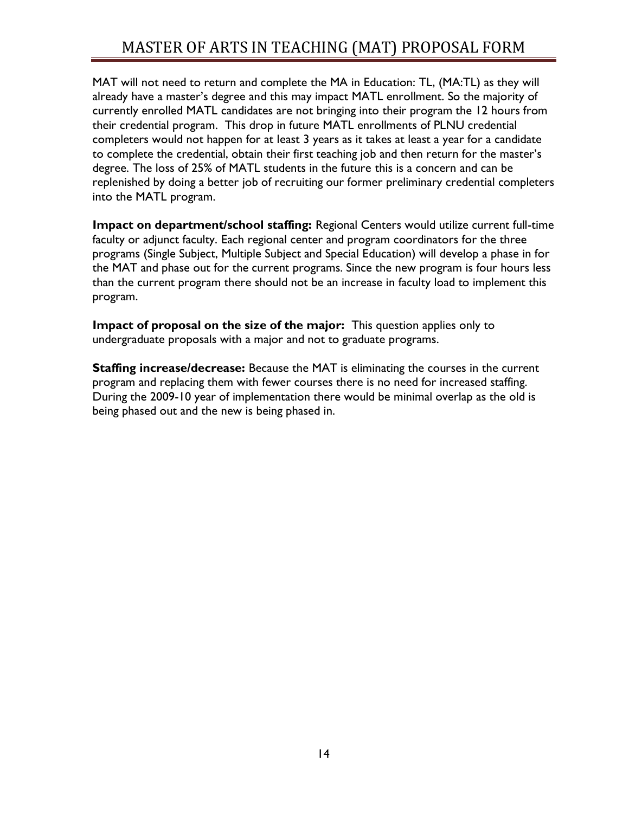MAT will not need to return and complete the MA in Education: TL, (MA:TL) as they will already have a master's degree and this may impact MATL enrollment. So the majority of currently enrolled MATL candidates are not bringing into their program the 12 hours from their credential program. This drop in future MATL enrollments of PLNU credential completers would not happen for at least 3 years as it takes at least a year for a candidate to complete the credential, obtain their first teaching job and then return for the master's degree. The loss of 25% of MATL students in the future this is a concern and can be replenished by doing a better job of recruiting our former preliminary credential completers into the MATL program.

**Impact on department/school staffing:** Regional Centers would utilize current full-time faculty or adjunct faculty. Each regional center and program coordinators for the three programs (Single Subject, Multiple Subject and Special Education) will develop a phase in for the MAT and phase out for the current programs. Since the new program is four hours less than the current program there should not be an increase in faculty load to implement this program.

**Impact of proposal on the size of the major:** This question applies only to undergraduate proposals with a major and not to graduate programs.

**Staffing increase/decrease:** Because the MAT is eliminating the courses in the current program and replacing them with fewer courses there is no need for increased staffing. During the 2009-10 year of implementation there would be minimal overlap as the old is being phased out and the new is being phased in.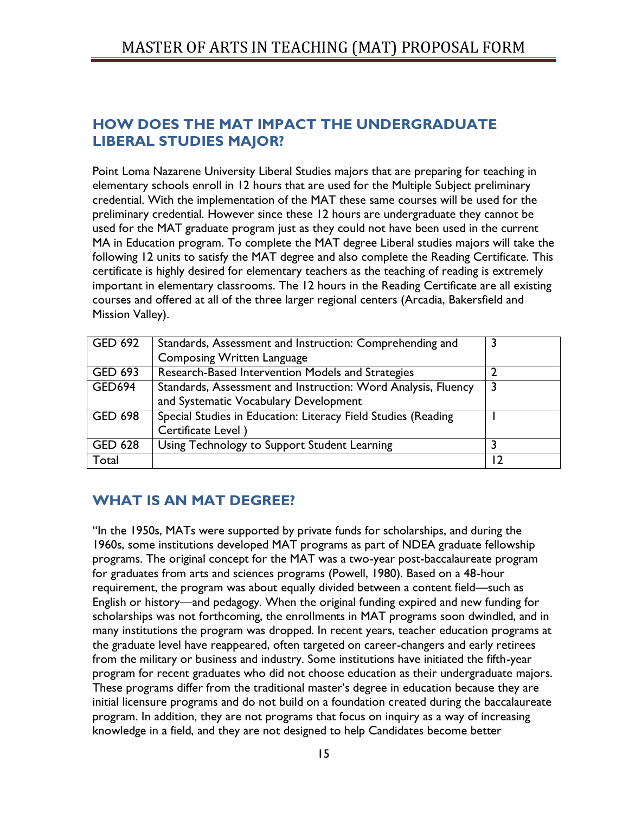# <span id="page-14-0"></span>**HOW DOES THE MAT IMPACT THE UNDERGRADUATE LIBERAL STUDIES MAJOR?**

Point Loma Nazarene University Liberal Studies majors that are preparing for teaching in elementary schools enroll in 12 hours that are used for the Multiple Subject preliminary credential. With the implementation of the MAT these same courses will be used for the preliminary credential. However since these 12 hours are undergraduate they cannot be used for the MAT graduate program just as they could not have been used in the current MA in Education program. To complete the MAT degree Liberal studies majors will take the following 12 units to satisfy the MAT degree and also complete the Reading Certificate. This certificate is highly desired for elementary teachers as the teaching of reading is extremely important in elementary classrooms. The 12 hours in the Reading Certificate are all existing courses and offered at all of the three larger regional centers (Arcadia, Bakersfield and Mission Valley).

| GED 692        | Standards, Assessment and Instruction: Comprehending and      |   |
|----------------|---------------------------------------------------------------|---|
|                | <b>Composing Written Language</b>                             |   |
| <b>GED 693</b> | Research-Based Intervention Models and Strategies             |   |
| GED694         | Standards, Assessment and Instruction: Word Analysis, Fluency | 3 |
|                | and Systematic Vocabulary Development                         |   |
| <b>GED 698</b> | Special Studies in Education: Literacy Field Studies (Reading |   |
|                | Certificate Level)                                            |   |
| <b>GED 628</b> | Using Technology to Support Student Learning                  |   |
| Total          |                                                               |   |

# <span id="page-14-1"></span>**WHAT IS AN MAT DEGREE?**

"In the 1950s, MATs were supported by private funds for scholarships, and during the 1960s, some institutions developed MAT programs as part of NDEA graduate fellowship programs. The original concept for the MAT was a two-year post-baccalaureate program for graduates from arts and sciences programs (Powell, 1980). Based on a 48-hour requirement, the program was about equally divided between a content field—such as English or history—and pedagogy. When the original funding expired and new funding for scholarships was not forthcoming, the enrollments in MAT programs soon dwindled, and in many institutions the program was dropped. In recent years, teacher education programs at the graduate level have reappeared, often targeted on career-changers and early retirees from the military or business and industry. Some institutions have initiated the fifth-year program for recent graduates who did not choose education as their undergraduate majors. These programs differ from the traditional master's degree in education because they are initial licensure programs and do not build on a foundation created during the baccalaureate program. In addition, they are not programs that focus on inquiry as a way of increasing knowledge in a field, and they are not designed to help Candidates become better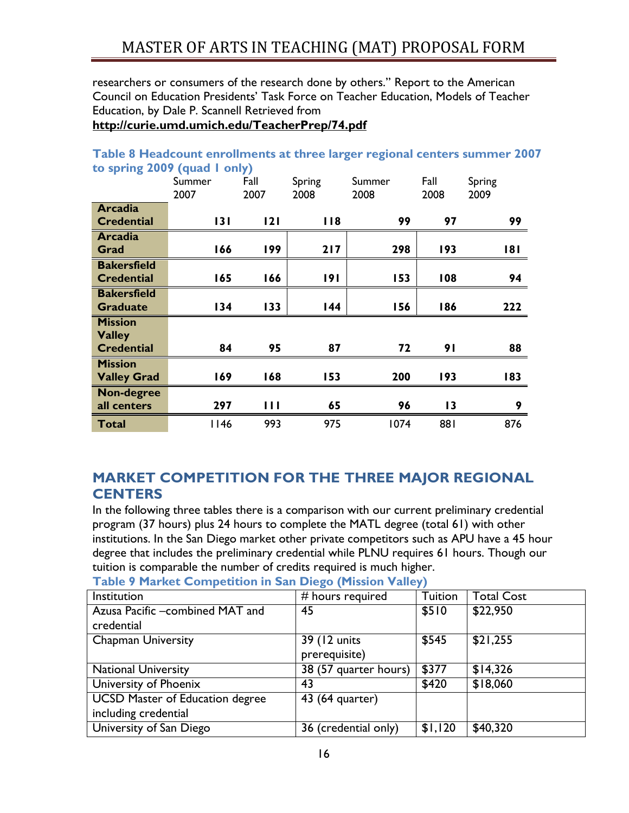researchers or consumers of the research done by others." Report to the American Council on Education Presidents' Task Force on Teacher Education, Models of Teacher Education, by Dale P. Scannell Retrieved from

**<http://curie.umd.umich.edu/TeacherPrep/74.pdf>**

| to spring 2007 (quad Tonly) |                |                |                |                |                 |                |
|-----------------------------|----------------|----------------|----------------|----------------|-----------------|----------------|
|                             | Summer<br>2007 | Fall<br>2007   | Spring<br>2008 | Summer<br>2008 | Fall<br>2008    | Spring<br>2009 |
| <b>Arcadia</b>              |                |                |                |                |                 |                |
| <b>Credential</b>           | 131            | 2              | 118            | 99             | 97              | 99             |
| <b>Arcadia</b>              |                |                |                |                |                 |                |
| Grad                        | 166            | 199            | 217            | 298            | 193             | 181            |
| <b>Bakersfield</b>          |                |                |                |                |                 |                |
| <b>Credential</b>           | 165            | 166            | 191            | 153            | 108             | 94             |
| <b>Bakersfield</b>          |                |                |                |                |                 |                |
| <b>Graduate</b>             | 134            | 133            | 144            | 156            | 186             | 222            |
| <b>Mission</b>              |                |                |                |                |                 |                |
| <b>Valley</b>               |                |                |                |                |                 |                |
| <b>Credential</b>           | 84             | 95             | 87             | 72             | 91              | 88             |
| <b>Mission</b>              |                |                |                |                |                 |                |
| <b>Valley Grad</b>          | 169            | 168            | 153            | 200            | 193             | 183            |
| <b>Non-degree</b>           |                |                |                |                |                 |                |
| all centers                 | 297            | $\blacksquare$ | 65             | 96             | $\overline{13}$ | 9              |
| <b>Total</b>                | II46           | 993            | 975            | 1074           | 881             | 876            |

## <span id="page-15-0"></span>**Table 8 Headcount enrollments at three larger regional centers summer 2007 to spring 2009 (quad 1 only)**

# <span id="page-15-1"></span>**MARKET COMPETITION FOR THE THREE MAJOR REGIONAL CENTERS**

In the following three tables there is a comparison with our current preliminary credential program (37 hours) plus 24 hours to complete the MATL degree (total 61) with other institutions. In the San Diego market other private competitors such as APU have a 45 hour degree that includes the preliminary credential while PLNU requires 61 hours. Though our tuition is comparable the number of credits required is much higher.

<span id="page-15-2"></span>**Table 9 Market Competition in San Diego (Mission Valley)** 

| Institution                            | # hours required      | Tuition | <b>Total Cost</b> |
|----------------------------------------|-----------------------|---------|-------------------|
| Azusa Pacific -combined MAT and        | 45                    | \$510   | \$22,950          |
| credential                             |                       |         |                   |
| <b>Chapman University</b>              | 39 (12 units)         | \$545   | \$21,255          |
|                                        | prerequisite)         |         |                   |
| <b>National University</b>             | 38 (57 quarter hours) | \$377   | \$14,326          |
| University of Phoenix                  | 43                    | \$420   | \$18,060          |
| <b>UCSD Master of Education degree</b> | 43 (64 quarter)       |         |                   |
| including credential                   |                       |         |                   |
| University of San Diego                | 36 (credential only)  | \$1,120 | \$40,320          |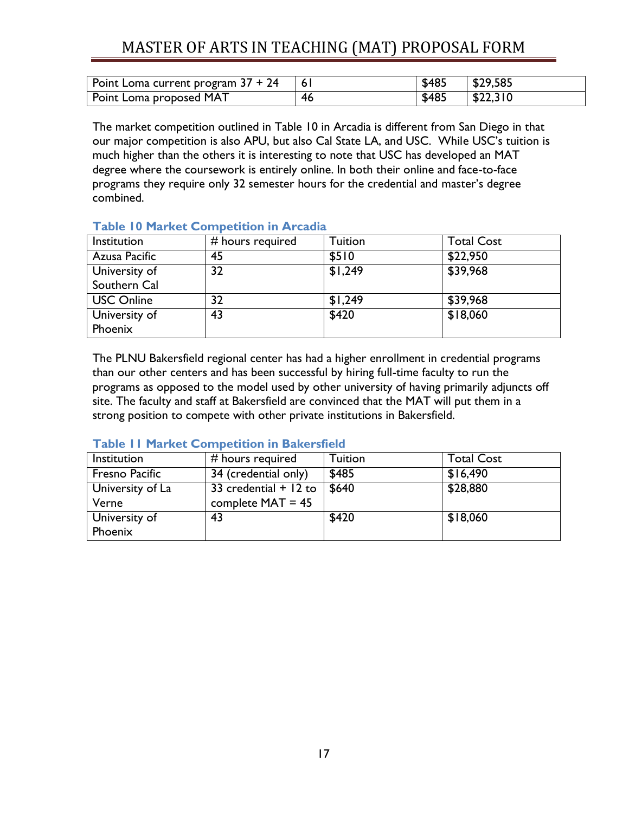| Point Loma current program $37 + 24$ |    | \$485 | \$29,585 |
|--------------------------------------|----|-------|----------|
| Point Loma proposed MAT              | 46 | \$485 | \$22,310 |

The market competition outlined in Table 10 in Arcadia is different from San Diego in that our major competition is also APU, but also Cal State LA, and USC. While USC's tuition is much higher than the others it is interesting to note that USC has developed an MAT degree where the coursework is entirely online. In both their online and face-to-face programs they require only 32 semester hours for the credential and master's degree combined.

| Institution       | # hours required | <b>Tuition</b> | <b>Total Cost</b> |
|-------------------|------------------|----------------|-------------------|
| Azusa Pacific     | 45               | \$510          | \$22,950          |
| University of     | 32               | \$1,249        | \$39,968          |
| Southern Cal      |                  |                |                   |
| <b>USC Online</b> | 32               | \$1,249        | \$39,968          |
| University of     | 43               | \$420          | \$18,060          |
| Phoenix           |                  |                |                   |

# <span id="page-16-0"></span>**Table 10 Market Competition in Arcadia**

The PLNU Bakersfield regional center has had a higher enrollment in credential programs than our other centers and has been successful by hiring full-time faculty to run the programs as opposed to the model used by other university of having primarily adjuncts off site. The faculty and staff at Bakersfield are convinced that the MAT will put them in a strong position to compete with other private institutions in Bakersfield.

| Institution      | # hours required        | Tuition | <b>Total Cost</b> |
|------------------|-------------------------|---------|-------------------|
| Fresno Pacific   | 34 (credential only)    | \$485   | \$16,490          |
| University of La | 33 credential $+$ 12 to | \$640   | \$28,880          |
| Verne            | complete $MAT = 45$     |         |                   |
| University of    | 43                      | \$420   | \$18,060          |
| Phoenix          |                         |         |                   |

### <span id="page-16-1"></span>**Table 11 Market Competition in Bakersfield**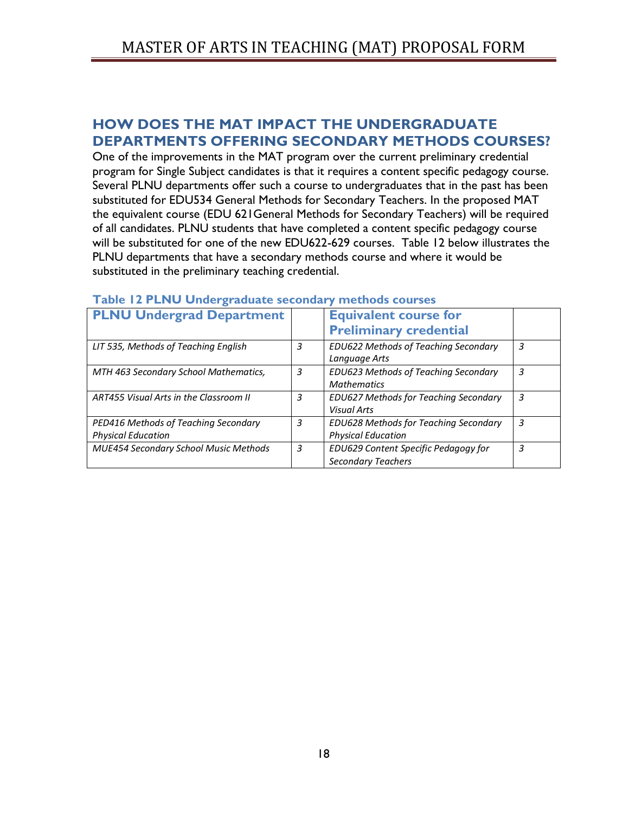# <span id="page-17-0"></span>**HOW DOES THE MAT IMPACT THE UNDERGRADUATE DEPARTMENTS OFFERING SECONDARY METHODS COURSES?**

One of the improvements in the MAT program over the current preliminary credential program for Single Subject candidates is that it requires a content specific pedagogy course. Several PLNU departments offer such a course to undergraduates that in the past has been substituted for EDU534 General Methods for Secondary Teachers. In the proposed MAT the equivalent course (EDU 621General Methods for Secondary Teachers) will be required of all candidates. PLNU students that have completed a content specific pedagogy course will be substituted for one of the new EDU622-629 courses. Table 12 below illustrates the PLNU departments that have a secondary methods course and where it would be substituted in the preliminary teaching credential.

| <b>PLNU Undergrad Department</b>             |   | <b>Equivalent course for</b>                 |   |
|----------------------------------------------|---|----------------------------------------------|---|
|                                              |   | <b>Preliminary credential</b>                |   |
| LIT 535, Methods of Teaching English         | 3 | <b>EDU622 Methods of Teaching Secondary</b>  | 3 |
|                                              |   | Language Arts                                |   |
| MTH 463 Secondary School Mathematics,        | 3 | <b>EDU623 Methods of Teaching Secondary</b>  | 3 |
|                                              |   | <b>Mathematics</b>                           |   |
| ART455 Visual Arts in the Classroom II       | 3 | EDU627 Methods for Teaching Secondary        | 3 |
|                                              |   | <b>Visual Arts</b>                           |   |
| PED416 Methods of Teaching Secondary         | 3 | <b>EDU628 Methods for Teaching Secondary</b> | 3 |
| <b>Physical Education</b>                    |   | <b>Physical Education</b>                    |   |
| <b>MUE454 Secondary School Music Methods</b> | 3 | EDU629 Content Specific Pedagogy for         | 3 |
|                                              |   | <b>Secondary Teachers</b>                    |   |

### <span id="page-17-1"></span>**Table 12 PLNU Undergraduate secondary methods courses**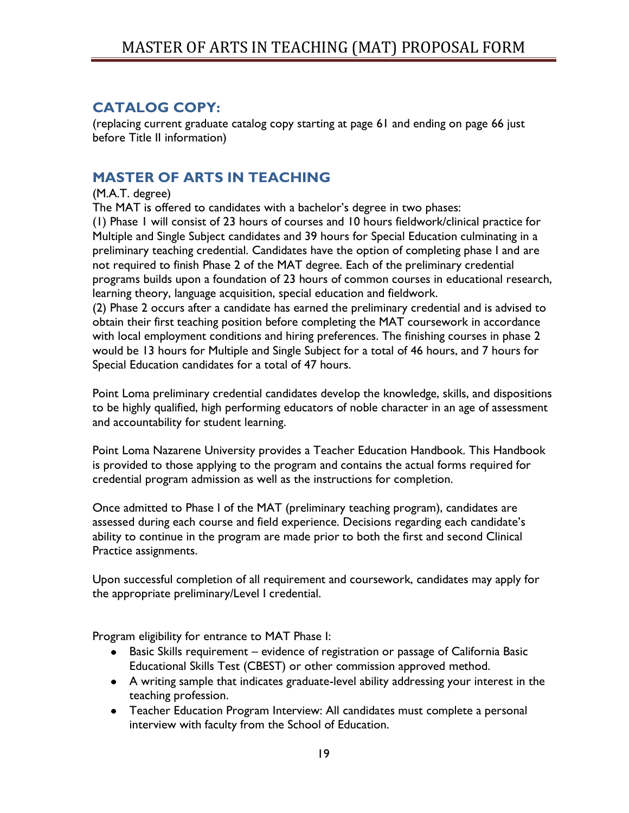# <span id="page-18-0"></span>**CATALOG COPY:**

(replacing current graduate catalog copy starting at page 61 and ending on page 66 just before Title II information)

# <span id="page-18-1"></span>**MASTER OF ARTS IN TEACHING**

## (M.A.T. degree)

The MAT is offered to candidates with a bachelor's degree in two phases:

(1) Phase 1 will consist of 23 hours of courses and 10 hours fieldwork/clinical practice for Multiple and Single Subject candidates and 39 hours for Special Education culminating in a preliminary teaching credential. Candidates have the option of completing phase I and are not required to finish Phase 2 of the MAT degree. Each of the preliminary credential programs builds upon a foundation of 23 hours of common courses in educational research, learning theory, language acquisition, special education and fieldwork.

(2) Phase 2 occurs after a candidate has earned the preliminary credential and is advised to obtain their first teaching position before completing the MAT coursework in accordance with local employment conditions and hiring preferences. The finishing courses in phase 2 would be 13 hours for Multiple and Single Subject for a total of 46 hours, and 7 hours for Special Education candidates for a total of 47 hours.

Point Loma preliminary credential candidates develop the knowledge, skills, and dispositions to be highly qualified, high performing educators of noble character in an age of assessment and accountability for student learning.

Point Loma Nazarene University provides a Teacher Education Handbook. This Handbook is provided to those applying to the program and contains the actual forms required for credential program admission as well as the instructions for completion.

Once admitted to Phase I of the MAT (preliminary teaching program), candidates are assessed during each course and field experience. Decisions regarding each candidate's ability to continue in the program are made prior to both the first and second Clinical Practice assignments.

Upon successful completion of all requirement and coursework, candidates may apply for the appropriate preliminary/Level I credential.

Program eligibility for entrance to MAT Phase I:

- Basic Skills requirement evidence of registration or passage of California Basic Educational Skills Test (CBEST) or other commission approved method.
- A writing sample that indicates graduate-level ability addressing your interest in the teaching profession.
- Teacher Education Program Interview: All candidates must complete a personal interview with faculty from the School of Education.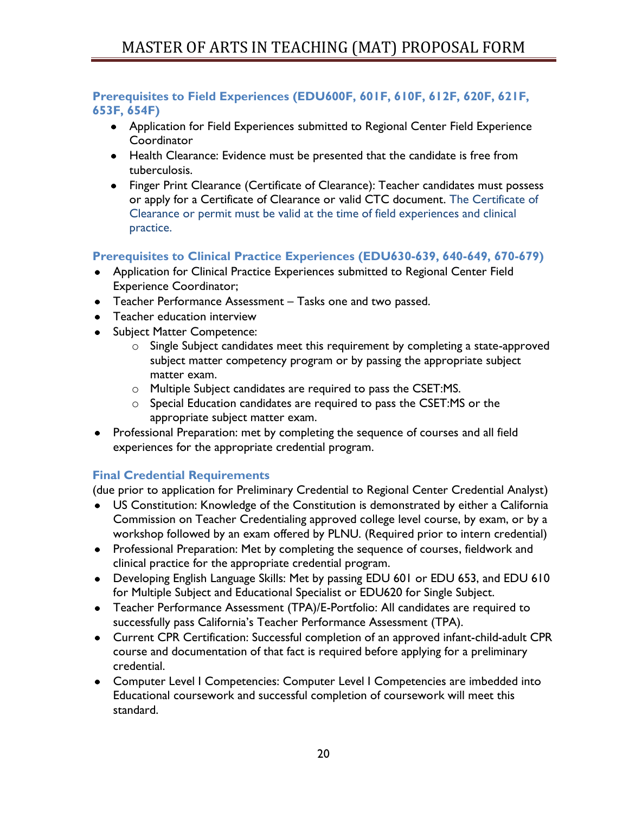# <span id="page-19-0"></span>**Prerequisites to Field Experiences (EDU600F, 601F, 610F, 612F, 620F, 621F, 653F, 654F)**

- Application for Field Experiences submitted to Regional Center Field Experience **Coordinator**
- Health Clearance: Evidence must be presented that the candidate is free from tuberculosis.
- Finger Print Clearance (Certificate of Clearance): Teacher candidates must possess or apply for a Certificate of Clearance or valid CTC document. The Certificate of Clearance or permit must be valid at the time of field experiences and clinical practice.

# <span id="page-19-1"></span>**Prerequisites to Clinical Practice Experiences (EDU630-639, 640-649, 670-679)**

- Application for Clinical Practice Experiences submitted to Regional Center Field Experience Coordinator;
- Teacher Performance Assessment Tasks one and two passed.
- Teacher education interview
- Subject Matter Competence:
	- o Single Subject candidates meet this requirement by completing a state-approved subject matter competency program or by passing the appropriate subject matter exam.
	- o Multiple Subject candidates are required to pass the CSET:MS.
	- o Special Education candidates are required to pass the CSET:MS or the appropriate subject matter exam.
- Professional Preparation: met by completing the sequence of courses and all field experiences for the appropriate credential program.

# <span id="page-19-2"></span>**Final Credential Requirements**

(due prior to application for Preliminary Credential to Regional Center Credential Analyst)

- US Constitution: Knowledge of the Constitution is demonstrated by either a California Commission on Teacher Credentialing approved college level course, by exam, or by a workshop followed by an exam offered by PLNU. (Required prior to intern credential)
- Professional Preparation: Met by completing the sequence of courses, fieldwork and clinical practice for the appropriate credential program.
- Developing English Language Skills: Met by passing EDU 601 or EDU 653, and EDU 610 for Multiple Subject and Educational Specialist or EDU620 for Single Subject.
- Teacher Performance Assessment (TPA)/E-Portfolio: All candidates are required to successfully pass California's Teacher Performance Assessment (TPA).
- Current CPR Certification: Successful completion of an approved infant-child-adult CPR course and documentation of that fact is required before applying for a preliminary credential.
- Computer Level I Competencies: Computer Level I Competencies are imbedded into Educational coursework and successful completion of coursework will meet this standard.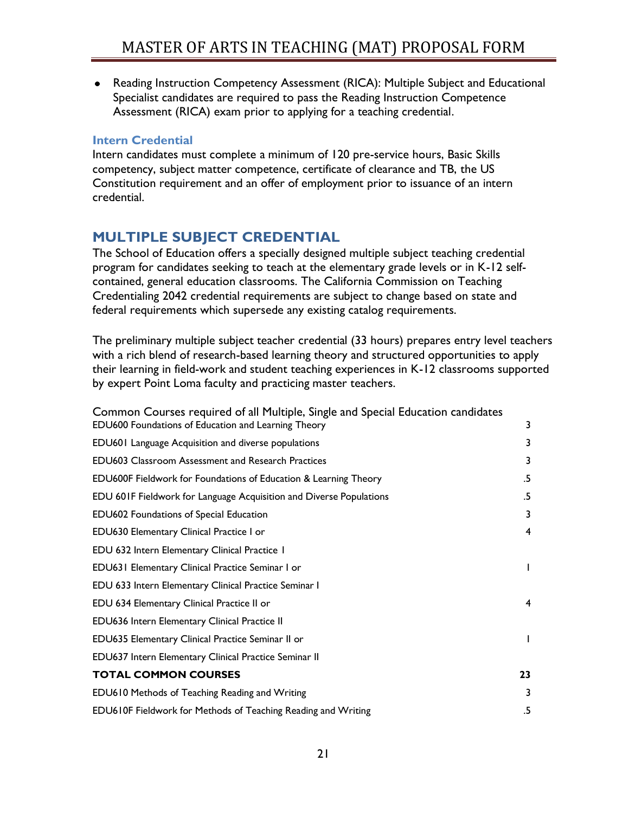Reading Instruction Competency Assessment (RICA): Multiple Subject and Educational Specialist candidates are required to pass the Reading Instruction Competence Assessment (RICA) exam prior to applying for a teaching credential.

## <span id="page-20-0"></span>**Intern Credential**

Intern candidates must complete a minimum of 120 pre-service hours, Basic Skills competency, subject matter competence, certificate of clearance and TB, the US Constitution requirement and an offer of employment prior to issuance of an intern credential.

# <span id="page-20-1"></span>**MULTIPLE SUBJECT CREDENTIAL**

The School of Education offers a specially designed multiple subject teaching credential program for candidates seeking to teach at the elementary grade levels or in K-12 selfcontained, general education classrooms. The California Commission on Teaching Credentialing 2042 credential requirements are subject to change based on state and federal requirements which supersede any existing catalog requirements.

The preliminary multiple subject teacher credential (33 hours) prepares entry level teachers with a rich blend of research-based learning theory and structured opportunities to apply their learning in field-work and student teaching experiences in K-12 classrooms supported by expert Point Loma faculty and practicing master teachers.

| Common Courses required of all Multiple, Single and Special Education candidates<br>EDU600 Foundations of Education and Learning Theory | 3            |
|-----------------------------------------------------------------------------------------------------------------------------------------|--------------|
|                                                                                                                                         |              |
| EDU601 Language Acquisition and diverse populations                                                                                     | 3            |
| <b>EDU603 Classroom Assessment and Research Practices</b>                                                                               | 3            |
| EDU600F Fieldwork for Foundations of Education & Learning Theory                                                                        | .5           |
| EDU 601F Fieldwork for Language Acquisition and Diverse Populations                                                                     | .5           |
| <b>EDU602 Foundations of Special Education</b>                                                                                          | 3            |
| EDU630 Elementary Clinical Practice I or                                                                                                | 4            |
| EDU 632 Intern Elementary Clinical Practice 1                                                                                           |              |
| EDU631 Elementary Clinical Practice Seminar I or                                                                                        | $\mathbf{I}$ |
| EDU 633 Intern Elementary Clinical Practice Seminar I                                                                                   |              |
| EDU 634 Elementary Clinical Practice II or                                                                                              | 4            |
| EDU636 Intern Elementary Clinical Practice II                                                                                           |              |
| EDU635 Elementary Clinical Practice Seminar II or                                                                                       | $\mathbf{I}$ |
| EDU637 Intern Elementary Clinical Practice Seminar II                                                                                   |              |
| <b>TOTAL COMMON COURSES</b>                                                                                                             | 23           |
| EDU610 Methods of Teaching Reading and Writing                                                                                          | 3            |
| EDU610F Fieldwork for Methods of Teaching Reading and Writing                                                                           | .5           |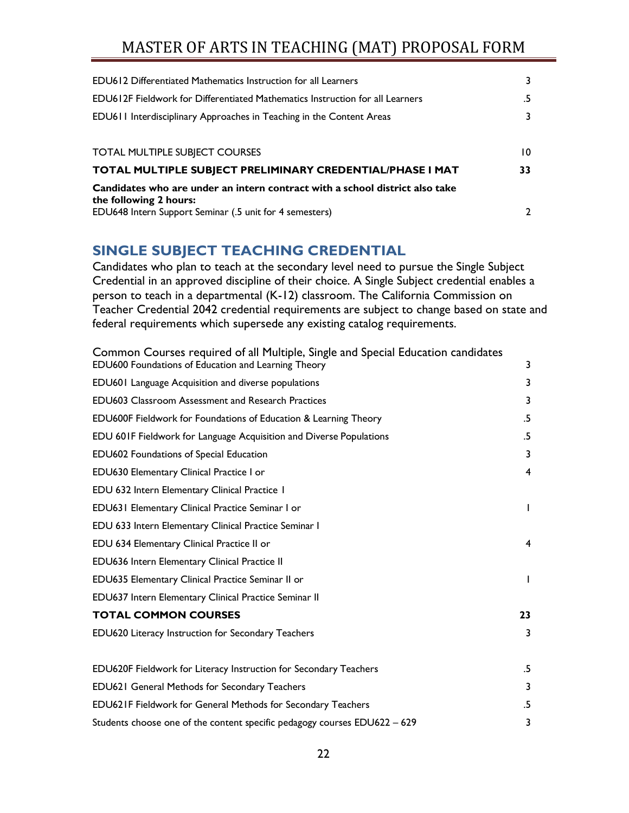| <b>EDU612 Differentiated Mathematics Instruction for all Learners</b>                                  | 3             |
|--------------------------------------------------------------------------------------------------------|---------------|
| <b>EDU612F Fieldwork for Differentiated Mathematics Instruction for all Learners</b>                   | .5            |
| EDU611 Interdisciplinary Approaches in Teaching in the Content Areas                                   | 3             |
|                                                                                                        |               |
| <b>TOTAL MULTIPLE SUBJECT COURSES</b>                                                                  | 10            |
| TOTAL MULTIPLE SUBJECT PRELIMINARY CREDENTIAL/PHASE I MAT                                              | 33            |
| Candidates who are under an intern contract with a school district also take<br>the following 2 hours: |               |
| EDU648 Intern Support Seminar (.5 unit for 4 semesters)                                                | $\mathcal{L}$ |

# <span id="page-21-0"></span>**SINGLE SUBJECT TEACHING CREDENTIAL**

Candidates who plan to teach at the secondary level need to pursue the Single Subject Credential in an approved discipline of their choice. A Single Subject credential enables a person to teach in a departmental (K-12) classroom. The California Commission on Teacher Credential 2042 credential requirements are subject to change based on state and federal requirements which supersede any existing catalog requirements.

| Common Courses required of all Multiple, Single and Special Education candidates<br>EDU600 Foundations of Education and Learning Theory | 3            |
|-----------------------------------------------------------------------------------------------------------------------------------------|--------------|
| <b>EDU601 Language Acquisition and diverse populations</b>                                                                              | 3            |
| <b>EDU603 Classroom Assessment and Research Practices</b>                                                                               | 3            |
| EDU600F Fieldwork for Foundations of Education & Learning Theory                                                                        | .5           |
| EDU 601F Fieldwork for Language Acquisition and Diverse Populations                                                                     | .5           |
| EDU602 Foundations of Special Education                                                                                                 | 3            |
| EDU630 Elementary Clinical Practice I or                                                                                                | 4            |
| EDU 632 Intern Elementary Clinical Practice 1                                                                                           |              |
| EDU631 Elementary Clinical Practice Seminar I or                                                                                        | $\mathbf{I}$ |
| EDU 633 Intern Elementary Clinical Practice Seminar I                                                                                   |              |
| EDU 634 Elementary Clinical Practice II or                                                                                              | 4            |
| EDU636 Intern Elementary Clinical Practice II                                                                                           |              |
| EDU635 Elementary Clinical Practice Seminar II or                                                                                       | $\mathbf{I}$ |
| EDU637 Intern Elementary Clinical Practice Seminar II                                                                                   |              |
| <b>TOTAL COMMON COURSES</b>                                                                                                             | 23           |
| EDU620 Literacy Instruction for Secondary Teachers                                                                                      | 3            |
| EDU620F Fieldwork for Literacy Instruction for Secondary Teachers                                                                       | .5           |
| <b>EDU621 General Methods for Secondary Teachers</b>                                                                                    | 3            |
| EDU621F Fieldwork for General Methods for Secondary Teachers                                                                            | .5           |
| Students choose one of the content specific pedagogy courses EDU622 - 629                                                               | 3            |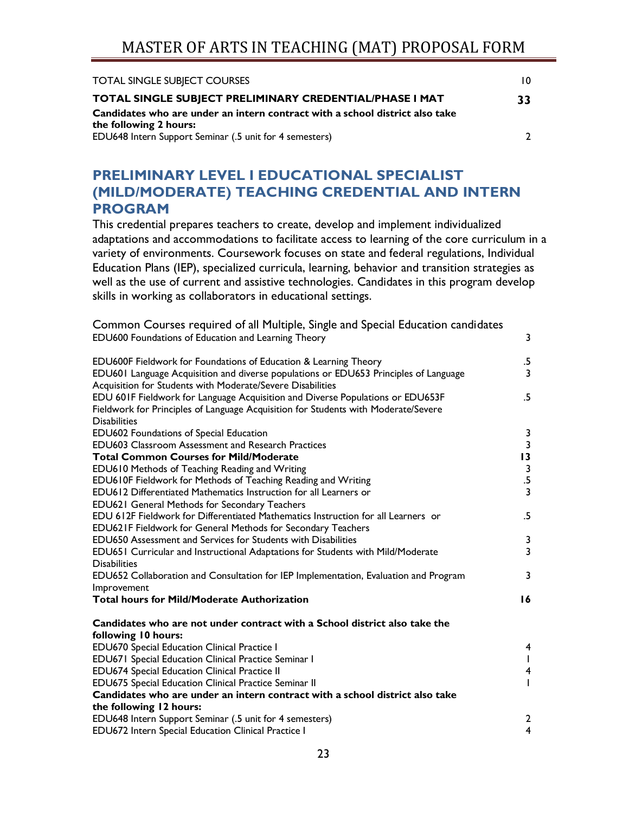| <b>TOTAL SINGLE SUBJECT COURSES</b>                                          |    |
|------------------------------------------------------------------------------|----|
| TOTAL SINGLE SUBJECT PRELIMINARY CREDENTIAL/PHASE I MAT                      | 33 |
| Candidates who are under an intern contract with a school district also take |    |
| the following 2 hours:                                                       |    |
| EDU648 Intern Support Seminar (.5 unit for 4 semesters)                      |    |
|                                                                              |    |

# <span id="page-22-0"></span>**PRELIMINARY LEVEL I EDUCATIONAL SPECIALIST (MILD/MODERATE) TEACHING CREDENTIAL AND INTERN PROGRAM**

This credential prepares teachers to create, develop and implement individualized adaptations and accommodations to facilitate access to learning of the core curriculum in a variety of environments. Coursework focuses on state and federal regulations, Individual Education Plans (IEP), specialized curricula, learning, behavior and transition strategies as well as the use of current and assistive technologies. Candidates in this program develop skills in working as collaborators in educational settings.

| Common Courses required of all Multiple, Single and Special Education candidates<br>EDU600 Foundations of Education and Learning Theory            | 3                                       |
|----------------------------------------------------------------------------------------------------------------------------------------------------|-----------------------------------------|
| EDU600F Fieldwork for Foundations of Education & Learning Theory                                                                                   | .5                                      |
| EDU601 Language Acquisition and diverse populations or EDU653 Principles of Language<br>Acquisition for Students with Moderate/Severe Disabilities | 3                                       |
| EDU 601F Fieldwork for Language Acquisition and Diverse Populations or EDU653F                                                                     | $.5\,$                                  |
| Fieldwork for Principles of Language Acquisition for Students with Moderate/Severe<br><b>Disabilities</b>                                          |                                         |
| EDU602 Foundations of Special Education                                                                                                            |                                         |
| <b>EDU603 Classroom Assessment and Research Practices</b>                                                                                          | $\frac{3}{3}$                           |
| <b>Total Common Courses for Mild/Moderate</b>                                                                                                      | $\overline{13}$                         |
| EDU610 Methods of Teaching Reading and Writing                                                                                                     | $\mathbf{3}$                            |
| EDU610F Fieldwork for Methods of Teaching Reading and Writing                                                                                      | $\overline{5}$                          |
| EDU612 Differentiated Mathematics Instruction for all Learners or                                                                                  | $\overline{3}$                          |
| <b>EDU621 General Methods for Secondary Teachers</b>                                                                                               |                                         |
| EDU 612F Fieldwork for Differentiated Mathematics Instruction for all Learners or                                                                  | $.5\,$                                  |
| EDU621F Fieldwork for General Methods for Secondary Teachers                                                                                       |                                         |
| <b>EDU650</b> Assessment and Services for Students with Disabilities                                                                               | 3                                       |
| EDU651 Curricular and Instructional Adaptations for Students with Mild/Moderate<br><b>Disabilities</b>                                             | $\overline{\mathbf{3}}$                 |
| EDU652 Collaboration and Consultation for IEP Implementation, Evaluation and Program                                                               | 3                                       |
| Improvement                                                                                                                                        |                                         |
| <b>Total hours for Mild/Moderate Authorization</b>                                                                                                 | 16                                      |
| Candidates who are not under contract with a School district also take the                                                                         |                                         |
| following 10 hours:                                                                                                                                |                                         |
| EDU670 Special Education Clinical Practice I                                                                                                       | 4                                       |
| EDU671 Special Education Clinical Practice Seminar I                                                                                               | $\mathsf{I}$<br>$\overline{\mathbf{4}}$ |
| <b>EDU674 Special Education Clinical Practice II</b>                                                                                               |                                         |
| EDU675 Special Education Clinical Practice Seminar II<br>Candidates who are under an intern contract with a school district also take              | T                                       |
| the following 12 hours:                                                                                                                            |                                         |
| EDU648 Intern Support Seminar (.5 unit for 4 semesters)                                                                                            | $\mathbf{2}$                            |
| EDU672 Intern Special Education Clinical Practice I                                                                                                | $\overline{4}$                          |
|                                                                                                                                                    |                                         |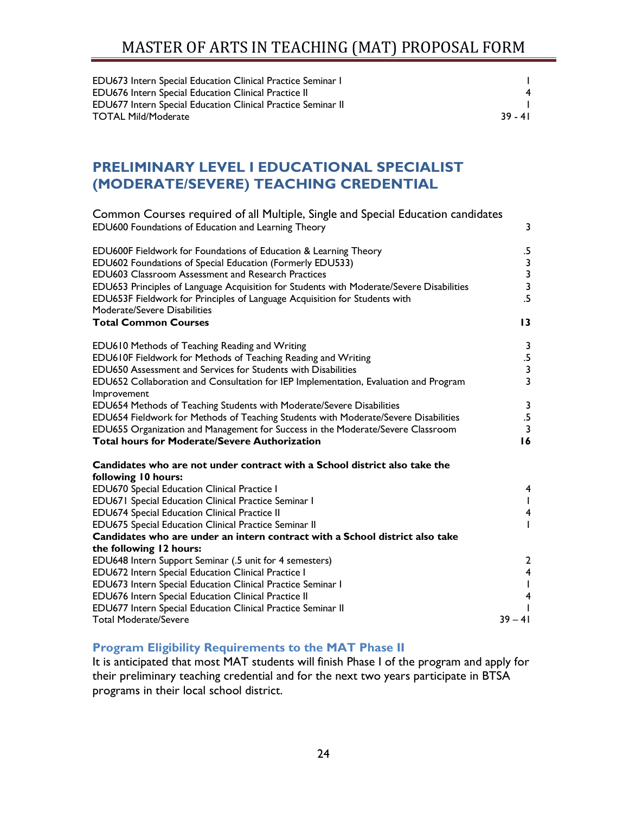| <b>EDU673</b> Intern Special Education Clinical Practice Seminar I  |           |
|---------------------------------------------------------------------|-----------|
| <b>EDU676 Intern Special Education Clinical Practice II</b>         | 4         |
| <b>EDU677 Intern Special Education Clinical Practice Seminar II</b> |           |
| <b>TOTAL Mild/Moderate</b>                                          | $39 - 41$ |

# <span id="page-23-0"></span>**PRELIMINARY LEVEL I EDUCATIONAL SPECIALIST (MODERATE/SEVERE) TEACHING CREDENTIAL**

| Common Courses required of all Multiple, Single and Special Education candidates<br>EDU600 Foundations of Education and Learning Theory                                | 3                                               |
|------------------------------------------------------------------------------------------------------------------------------------------------------------------------|-------------------------------------------------|
| EDU600F Fieldwork for Foundations of Education & Learning Theory                                                                                                       | .5                                              |
| EDU602 Foundations of Special Education (Formerly EDU533)                                                                                                              |                                                 |
| <b>EDU603 Classroom Assessment and Research Practices</b>                                                                                                              |                                                 |
| EDU653 Principles of Language Acquisition for Students with Moderate/Severe Disabilities<br>EDU653F Fieldwork for Principles of Language Acquisition for Students with | $\begin{array}{c} 3 \\ 3 \\ 3 \\ 5 \end{array}$ |
| Moderate/Severe Disabilities                                                                                                                                           |                                                 |
| <b>Total Common Courses</b>                                                                                                                                            | 13                                              |
| EDU610 Methods of Teaching Reading and Writing                                                                                                                         | 3                                               |
| EDU610F Fieldwork for Methods of Teaching Reading and Writing                                                                                                          | $.5\,$                                          |
| EDU650 Assessment and Services for Students with Disabilities                                                                                                          | $\mathbf{3}$                                    |
| EDU652 Collaboration and Consultation for IEP Implementation, Evaluation and Program<br>Improvement                                                                    | $\overline{3}$                                  |
| EDU654 Methods of Teaching Students with Moderate/Severe Disabilities                                                                                                  |                                                 |
| EDU654 Fieldwork for Methods of Teaching Students with Moderate/Severe Disabilities                                                                                    | $\frac{3}{5}$                                   |
| EDU655 Organization and Management for Success in the Moderate/Severe Classroom                                                                                        | $\overline{3}$                                  |
| <b>Total hours for Moderate/Severe Authorization</b>                                                                                                                   | 16                                              |
| Candidates who are not under contract with a School district also take the                                                                                             |                                                 |
| following 10 hours:                                                                                                                                                    |                                                 |
| <b>EDU670 Special Education Clinical Practice I</b>                                                                                                                    | 4                                               |
| EDU671 Special Education Clinical Practice Seminar I                                                                                                                   | $\mathbf{I}$                                    |
| EDU674 Special Education Clinical Practice II                                                                                                                          | 4                                               |
| EDU675 Special Education Clinical Practice Seminar II                                                                                                                  | T                                               |
| Candidates who are under an intern contract with a School district also take                                                                                           |                                                 |
| the following 12 hours:                                                                                                                                                |                                                 |
| EDU648 Intern Support Seminar (.5 unit for 4 semesters)                                                                                                                | 2                                               |
| EDU672 Intern Special Education Clinical Practice I                                                                                                                    | $\overline{4}$                                  |
| EDU673 Intern Special Education Clinical Practice Seminar I                                                                                                            | T                                               |
| EDU676 Intern Special Education Clinical Practice II                                                                                                                   | 4                                               |
| EDU677 Intern Special Education Clinical Practice Seminar II                                                                                                           |                                                 |
| <b>Total Moderate/Severe</b>                                                                                                                                           | $39 - 41$                                       |

## <span id="page-23-1"></span>**Program Eligibility Requirements to the MAT Phase II**

It is anticipated that most MAT students will finish Phase I of the program and apply for their preliminary teaching credential and for the next two years participate in BTSA programs in their local school district.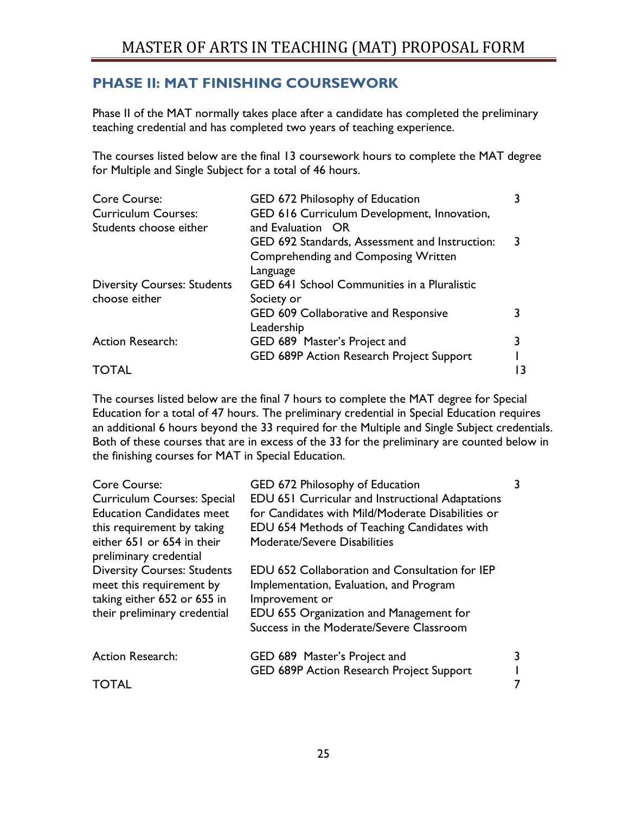# <span id="page-24-0"></span>**PHASE II: MAT FINISHING COURSEWORK**

Phase II of the MAT normally takes place after a candidate has completed the preliminary teaching credential and has completed two years of teaching experience.

The courses listed below are the final 13 coursework hours to complete the MAT degree for Multiple and Single Subject for a total of 46 hours.

| Core Course:                       | GED 672 Philosophy of Education                    |    |
|------------------------------------|----------------------------------------------------|----|
| <b>Curriculum Courses:</b>         | GED 616 Curriculum Development, Innovation,        |    |
| Students choose either             | and Evaluation OR                                  |    |
|                                    | GED 692 Standards, Assessment and Instruction:     |    |
|                                    | <b>Comprehending and Composing Written</b>         |    |
|                                    | Language                                           |    |
| <b>Diversity Courses: Students</b> | <b>GED 641 School Communities in a Pluralistic</b> |    |
| choose either                      | Society or                                         |    |
|                                    | GED 609 Collaborative and Responsive               |    |
|                                    | Leadership                                         |    |
| <b>Action Research:</b>            | GED 689 Master's Project and                       |    |
|                                    | GED 689P Action Research Project Support           |    |
| <b>TOTAL</b>                       |                                                    | 13 |

The courses listed below are the final 7 hours to complete the MAT degree for Special Education for a total of 47 hours. The preliminary credential in Special Education requires an additional 6 hours beyond the 33 required for the Multiple and Single Subject credentials. Both of these courses that are in excess of the 33 for the preliminary are counted below in the finishing courses for MAT in Special Education.

| <b>Core Course:</b>                                  | GED 672 Philosophy of Education                         |  |
|------------------------------------------------------|---------------------------------------------------------|--|
| <b>Curriculum Courses: Special</b>                   | <b>EDU 651 Curricular and Instructional Adaptations</b> |  |
| <b>Education Candidates meet</b>                     | for Candidates with Mild/Moderate Disabilities or       |  |
| this requirement by taking                           | EDU 654 Methods of Teaching Candidates with             |  |
| either 651 or 654 in their<br>preliminary credential | Moderate/Severe Disabilities                            |  |
| <b>Diversity Courses: Students</b>                   | EDU 652 Collaboration and Consultation for IEP          |  |
| meet this requirement by                             | Implementation, Evaluation, and Program                 |  |
| taking either 652 or 655 in                          | Improvement or                                          |  |
| their preliminary credential                         | EDU 655 Organization and Management for                 |  |
|                                                      | Success in the Moderate/Severe Classroom                |  |
| <b>Action Research:</b>                              | GED 689 Master's Project and                            |  |
|                                                      | GED 689P Action Research Project Support                |  |
| <b>TOTAL</b>                                         |                                                         |  |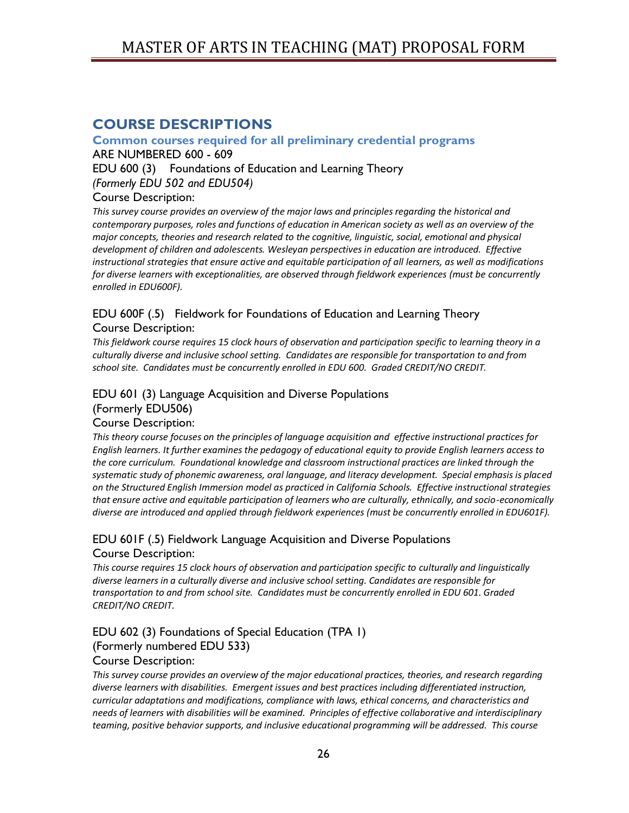# <span id="page-25-0"></span>**COURSE DESCRIPTIONS**

## <span id="page-25-1"></span>**Common courses required for all preliminary credential programs**

ARE NUMBERED 600 - 609

EDU 600 (3) Foundations of Education and Learning Theory

*(Formerly EDU 502 and EDU504)*

## Course Description:

*This survey course provides an overview of the major laws and principles regarding the historical and contemporary purposes, roles and functions of education in American society as well as an overview of the major concepts, theories and research related to the cognitive, linguistic, social, emotional and physical development of children and adolescents. Wesleyan perspectives in education are introduced. Effective instructional strategies that ensure active and equitable participation of all learners, as well as modifications for diverse learners with exceptionalities, are observed through fieldwork experiences (must be concurrently enrolled in EDU600F).* 

## EDU 600F (.5) Fieldwork for Foundations of Education and Learning Theory Course Description:

*This fieldwork course requires 15 clock hours of observation and participation specific to learning theory in a culturally diverse and inclusive school setting. Candidates are responsible for transportation to and from school site. Candidates must be concurrently enrolled in EDU 600. Graded CREDIT/NO CREDIT.*

# EDU 601 (3) Language Acquisition and Diverse Populations (Formerly EDU506)

### Course Description:

*This theory course focuses on the principles of language acquisition and effective instructional practices for English learners. It further examines the pedagogy of educational equity to provide English learners access to the core curriculum. Foundational knowledge and classroom instructional practices are linked through the systematic study of phonemic awareness, oral language, and literacy development. Special emphasis is placed on the Structured English Immersion model as practiced in California Schools. Effective instructional strategies that ensure active and equitable participation of learners who are culturally, ethnically, and socio-economically diverse are introduced and applied through fieldwork experiences (must be concurrently enrolled in EDU601F).* 

# EDU 601F (.5) Fieldwork Language Acquisition and Diverse Populations Course Description:

*This course requires 15 clock hours of observation and participation specific to culturally and linguistically diverse learners in a culturally diverse and inclusive school setting. Candidates are responsible for transportation to and from school site. Candidates must be concurrently enrolled in EDU 601. Graded CREDIT/NO CREDIT.*

# EDU 602 (3) Foundations of Special Education (TPA 1) (Formerly numbered EDU 533)

### Course Description:

*This survey course provides an overview of the major educational practices, theories, and research regarding diverse learners with disabilities. Emergent issues and best practices including differentiated instruction, curricular adaptations and modifications, compliance with laws, ethical concerns, and characteristics and needs of learners with disabilities will be examined. Principles of effective collaborative and interdisciplinary teaming, positive behavior supports, and inclusive educational programming will be addressed. This course*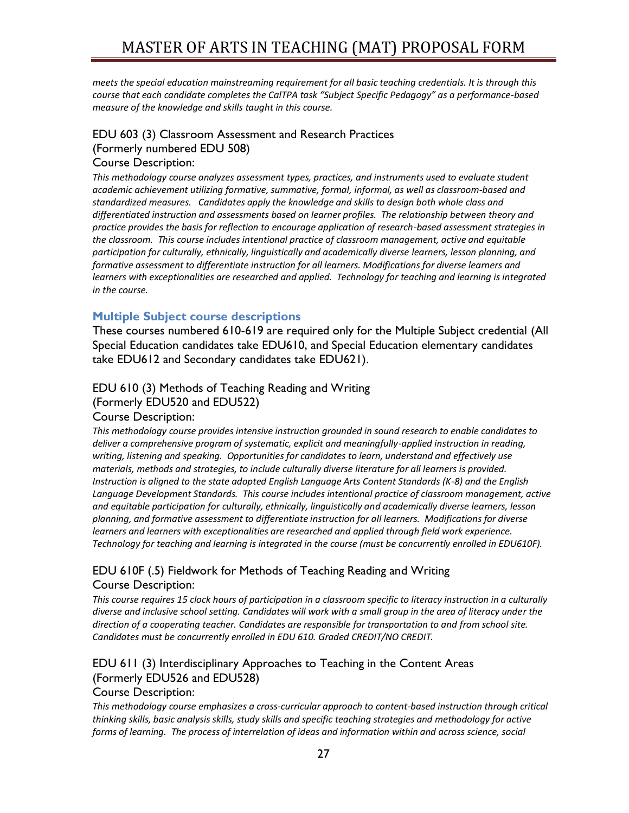*meets the special education mainstreaming requirement for all basic teaching credentials. It is through this course that each candidate completes the CalTPA task "Subject Specific Pedagogy" as a performance-based measure of the knowledge and skills taught in this course.*

### EDU 603 (3) Classroom Assessment and Research Practices (Formerly numbered EDU 508)

### Course Description:

*This methodology course analyzes assessment types, practices, and instruments used to evaluate student academic achievement utilizing formative, summative, formal, informal, as well as classroom-based and standardized measures. Candidates apply the knowledge and skills to design both whole class and differentiated instruction and assessments based on learner profiles. The relationship between theory and practice provides the basis for reflection to encourage application of research-based assessment strategies in the classroom. This course includes intentional practice of classroom management, active and equitable participation for culturally, ethnically, linguistically and academically diverse learners, lesson planning, and formative assessment to differentiate instruction for all learners. Modifications for diverse learners and learners with exceptionalities are researched and applied. Technology for teaching and learning is integrated in the course.* 

## <span id="page-26-0"></span>**Multiple Subject course descriptions**

These courses numbered 610-619 are required only for the Multiple Subject credential (All Special Education candidates take EDU610, and Special Education elementary candidates take EDU612 and Secondary candidates take EDU621).

# EDU 610 (3) Methods of Teaching Reading and Writing (Formerly EDU520 and EDU522)

#### Course Description:

*This methodology course provides intensive instruction grounded in sound research to enable candidates to deliver a comprehensive program of systematic, explicit and meaningfully-applied instruction in reading, writing, listening and speaking. Opportunities for candidates to learn, understand and effectively use materials, methods and strategies, to include culturally diverse literature for all learners is provided. Instruction is aligned to the state adopted English Language Arts Content Standards (K-8) and the English Language Development Standards. This course includes intentional practice of classroom management, active and equitable participation for culturally, ethnically, linguistically and academically diverse learners, lesson planning, and formative assessment to differentiate instruction for all learners. Modifications for diverse learners and learners with exceptionalities are researched and applied through field work experience. Technology for teaching and learning is integrated in the course (must be concurrently enrolled in EDU610F).*

## EDU 610F (.5) Fieldwork for Methods of Teaching Reading and Writing Course Description:

*This course requires 15 clock hours of participation in a classroom specific to literacy instruction in a culturally diverse and inclusive school setting. Candidates will work with a small group in the area of literacy under the direction of a cooperating teacher. Candidates are responsible for transportation to and from school site. Candidates must be concurrently enrolled in EDU 610. Graded CREDIT/NO CREDIT.*

# EDU 611 (3) Interdisciplinary Approaches to Teaching in the Content Areas (Formerly EDU526 and EDU528)

### Course Description:

*This methodology course emphasizes a cross-curricular approach to content-based instruction through critical thinking skills, basic analysis skills, study skills and specific teaching strategies and methodology for active forms of learning. The process of interrelation of ideas and information within and across science, social*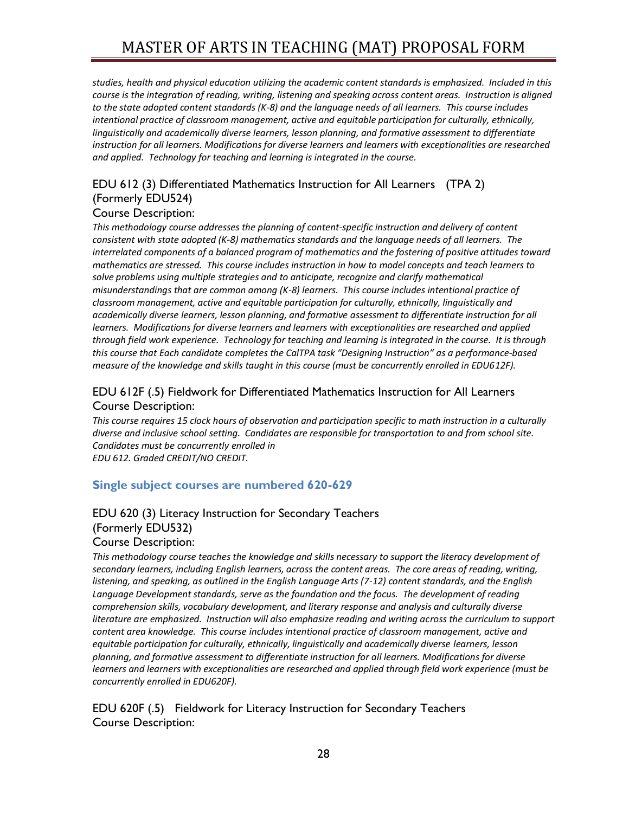*studies, health and physical education utilizing the academic content standards is emphasized. Included in this course is the integration of reading, writing, listening and speaking across content areas. Instruction is aligned to the state adopted content standards (K-8) and the language needs of all learners. This course includes*  intentional practice of classroom management, active and equitable participation for culturally, ethnically, *linguistically and academically diverse learners, lesson planning, and formative assessment to differentiate instruction for all learners. Modifications for diverse learners and learners with exceptionalities are researched and applied. Technology for teaching and learning is integrated in the course.*

# EDU 612 (3) Differentiated Mathematics Instruction for All Learners (TPA 2) (Formerly EDU524)

### Course Description:

*This methodology course addresses the planning of content-specific instruction and delivery of content consistent with state adopted (K-8) mathematics standards and the language needs of all learners. The interrelated components of a balanced program of mathematics and the fostering of positive attitudes toward mathematics are stressed. This course includes instruction in how to model concepts and teach learners to solve problems using multiple strategies and to anticipate, recognize and clarify mathematical misunderstandings that are common among (K-8) learners. This course includes intentional practice of classroom management, active and equitable participation for culturally, ethnically, linguistically and academically diverse learners, lesson planning, and formative assessment to differentiate instruction for all learners. Modifications for diverse learners and learners with exceptionalities are researched and applied through field work experience. Technology for teaching and learning is integrated in the course. It is through this course that Each candidate completes the CalTPA task "Designing Instruction" as a performance-based measure of the knowledge and skills taught in this course (must be concurrently enrolled in EDU612F).*

## EDU 612F (.5) Fieldwork for Differentiated Mathematics Instruction for All Learners Course Description:

*This course requires 15 clock hours of observation and participation specific to math instruction in a culturally diverse and inclusive school setting. Candidates are responsible for transportation to and from school site. Candidates must be concurrently enrolled in EDU 612. Graded CREDIT/NO CREDIT.*

### <span id="page-27-0"></span>**Single subject courses are numbered 620-629**

# EDU 620 (3) Literacy Instruction for Secondary Teachers (Formerly EDU532)

Course Description:

*This methodology course teaches the knowledge and skills necessary to support the literacy development of secondary learners, including English learners, across the content areas. The core areas of reading, writing, listening, and speaking, as outlined in the English Language Arts (7-12) content standards, and the English Language Development standards, serve as the foundation and the focus. The development of reading comprehension skills, vocabulary development, and literary response and analysis and culturally diverse literature are emphasized. Instruction will also emphasize reading and writing across the curriculum to support content area knowledge. This course includes intentional practice of classroom management, active and equitable participation for culturally, ethnically, linguistically and academically diverse learners, lesson planning, and formative assessment to differentiate instruction for all learners. Modifications for diverse learners and learners with exceptionalities are researched and applied through field work experience (must be concurrently enrolled in EDU620F).*

EDU 620F (.5) Fieldwork for Literacy Instruction for Secondary Teachers Course Description: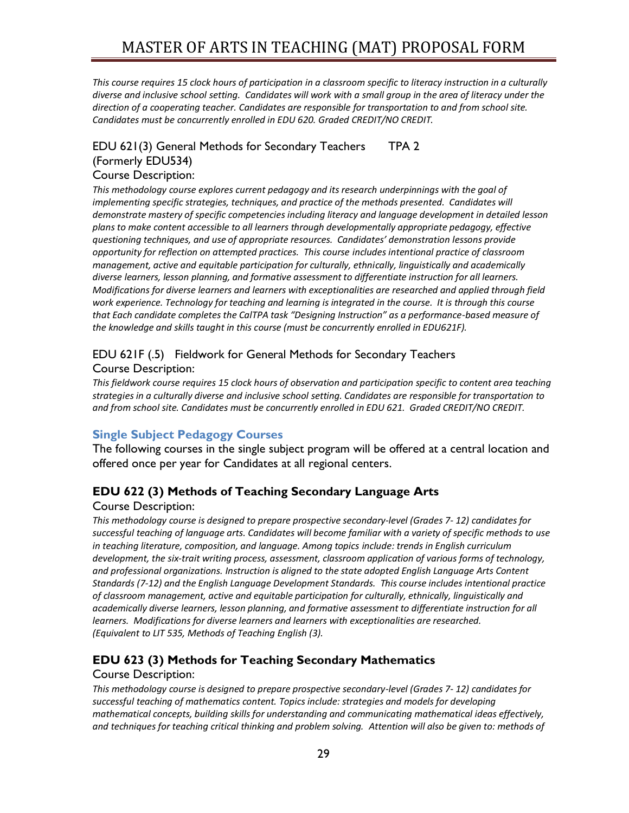*This course requires 15 clock hours of participation in a classroom specific to literacy instruction in a culturally diverse and inclusive school setting. Candidates will work with a small group in the area of literacy under the direction of a cooperating teacher. Candidates are responsible for transportation to and from school site. Candidates must be concurrently enrolled in EDU 620. Graded CREDIT/NO CREDIT.*

# EDU 621(3) General Methods for Secondary Teachers TPA 2 (Formerly EDU534)

### Course Description:

*This methodology course explores current pedagogy and its research underpinnings with the goal of implementing specific strategies, techniques, and practice of the methods presented. Candidates will demonstrate mastery of specific competencies including literacy and language development in detailed lesson plans to make content accessible to all learners through developmentally appropriate pedagogy, effective questioning techniques, and use of appropriate resources. Candidates' demonstration lessons provide opportunity for reflection on attempted practices. This course includes intentional practice of classroom management, active and equitable participation for culturally, ethnically, linguistically and academically diverse learners, lesson planning, and formative assessment to differentiate instruction for all learners. Modifications for diverse learners and learners with exceptionalities are researched and applied through field work experience. Technology for teaching and learning is integrated in the course. It is through this course that Each candidate completes the CalTPA task "Designing Instruction" as a performance-based measure of the knowledge and skills taught in this course (must be concurrently enrolled in EDU621F).*

#### EDU 621F (.5) Fieldwork for General Methods for Secondary Teachers Course Description:

*This fieldwork course requires 15 clock hours of observation and participation specific to content area teaching strategies in a culturally diverse and inclusive school setting. Candidates are responsible for transportation to and from school site. Candidates must be concurrently enrolled in EDU 621. Graded CREDIT/NO CREDIT.*

## <span id="page-28-1"></span><span id="page-28-0"></span>**Single Subject Pedagogy Courses**

The following courses in the single subject program will be offered at a central location and offered once per year for Candidates at all regional centers.

## **EDU 622 (3) Methods of Teaching Secondary Language Arts**

### Course Description:

*This methodology course is designed to prepare prospective secondary-level (Grades 7- 12) candidates for successful teaching of language arts. Candidates will become familiar with a variety of specific methods to use in teaching literature, composition, and language. Among topics include: trends in English curriculum development, the six-trait writing process, assessment, classroom application of various forms of technology, and professional organizations. Instruction is aligned to the state adopted English Language Arts Content Standards (7-12) and the English Language Development Standards. This course includes intentional practice of classroom management, active and equitable participation for culturally, ethnically, linguistically and academically diverse learners, lesson planning, and formative assessment to differentiate instruction for all learners. Modifications for diverse learners and learners with exceptionalities are researched. (Equivalent to LIT 535, Methods of Teaching English (3).* 

## **EDU 623 (3) Methods for Teaching Secondary Mathematics**

#### Course Description:

*This methodology course is designed to prepare prospective secondary-level (Grades 7- 12) candidates for successful teaching of mathematics content. Topics include: strategies and models for developing mathematical concepts, building skills for understanding and communicating mathematical ideas effectively, and techniques for teaching critical thinking and problem solving. Attention will also be given to: methods of*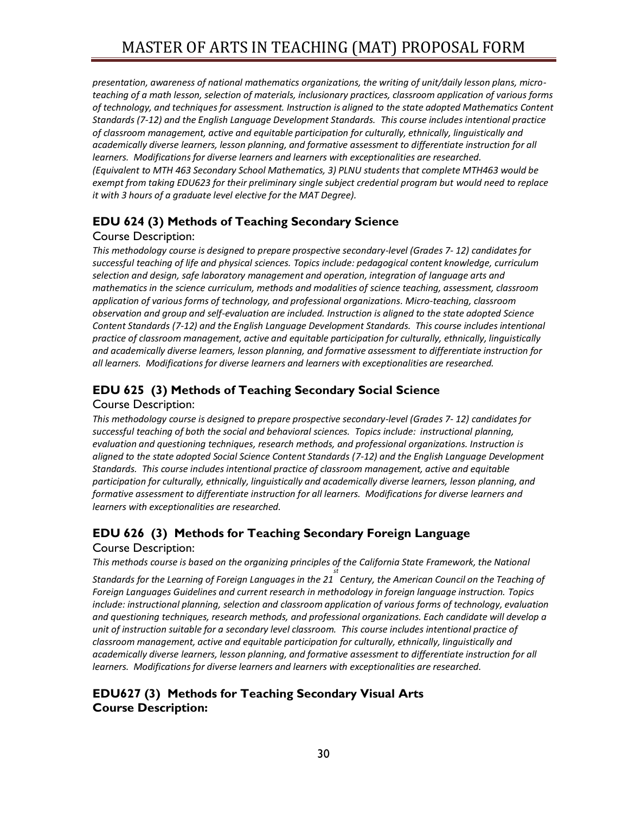*presentation, awareness of national mathematics organizations, the writing of unit/daily lesson plans, microteaching of a math lesson, selection of materials, inclusionary practices, classroom application of various forms of technology, and techniques for assessment. Instruction is aligned to the state adopted Mathematics Content Standards (7-12) and the English Language Development Standards. This course includes intentional practice of classroom management, active and equitable participation for culturally, ethnically, linguistically and academically diverse learners, lesson planning, and formative assessment to differentiate instruction for all learners. Modifications for diverse learners and learners with exceptionalities are researched. (Equivalent to MTH 463 Secondary School Mathematics, 3) PLNU students that complete MTH463 would be exempt from taking EDU623 for their preliminary single subject credential program but would need to replace it with 3 hours of a graduate level elective for the MAT Degree).*

# **EDU 624 (3) Methods of Teaching Secondary Science**

## Course Description:

*This methodology course is designed to prepare prospective secondary-level (Grades 7- 12) candidates for successful teaching of life and physical sciences. Topics include: pedagogical content knowledge, curriculum selection and design, safe laboratory management and operation, integration of language arts and mathematics in the science curriculum, methods and modalities of science teaching, assessment, classroom application of various forms of technology, and professional organizations. Micro-teaching, classroom observation and group and self-evaluation are included. Instruction is aligned to the state adopted Science Content Standards (7-12) and the English Language Development Standards. This course includes intentional practice of classroom management, active and equitable participation for culturally, ethnically, linguistically and academically diverse learners, lesson planning, and formative assessment to differentiate instruction for all learners. Modifications for diverse learners and learners with exceptionalities are researched.*

# **EDU 625 (3) Methods of Teaching Secondary Social Science**

#### Course Description:

*This methodology course is designed to prepare prospective secondary-level (Grades 7- 12) candidates for successful teaching of both the social and behavioral sciences. Topics include: instructional planning, evaluation and questioning techniques, research methods, and professional organizations. Instruction is aligned to the state adopted Social Science Content Standards (7-12) and the English Language Development Standards. This course includes intentional practice of classroom management, active and equitable participation for culturally, ethnically, linguistically and academically diverse learners, lesson planning, and formative assessment to differentiate instruction for all learners. Modifications for diverse learners and learners with exceptionalities are researched.*

# **EDU 626 (3) Methods for Teaching Secondary Foreign Language**  Course Description:

*This methods course is based on the organizing principles of the California State Framework, the National st* 

*Standards for the Learning of Foreign Languages in the 21 Century, the American Council on the Teaching of Foreign Languages Guidelines and current research in methodology in foreign language instruction. Topics include: instructional planning, selection and classroom application of various forms of technology, evaluation and questioning techniques, research methods, and professional organizations. Each candidate will develop a unit of instruction suitable for a secondary level classroom. This course includes intentional practice of classroom management, active and equitable participation for culturally, ethnically, linguistically and academically diverse learners, lesson planning, and formative assessment to differentiate instruction for all learners. Modifications for diverse learners and learners with exceptionalities are researched.*

# **EDU627 (3) Methods for Teaching Secondary Visual Arts Course Description:**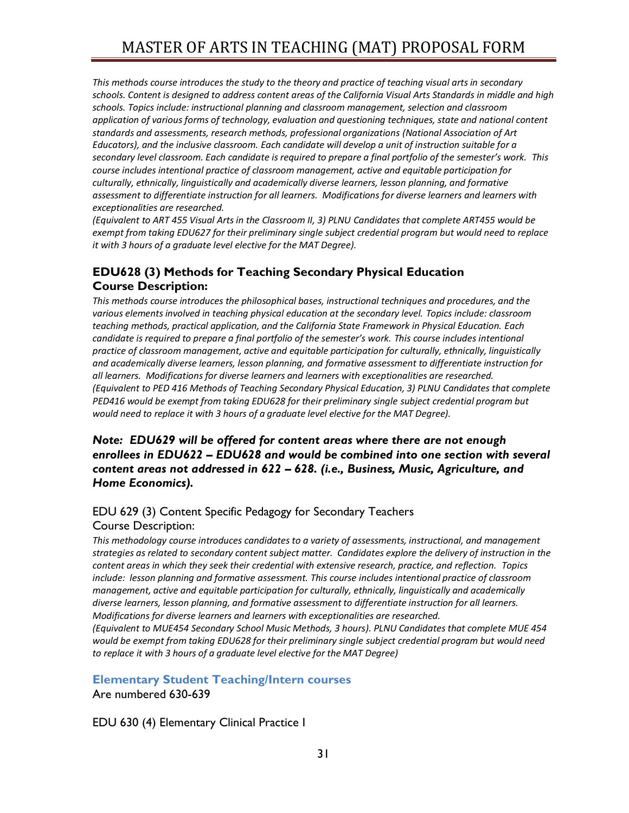*This methods course introduces the study to the theory and practice of teaching visual arts in secondary schools. Content is designed to address content areas of the California Visual Arts Standards in middle and high schools. Topics include: instructional planning and classroom management, selection and classroom application of various forms of technology, evaluation and questioning techniques, state and national content standards and assessments, research methods, professional organizations (National Association of Art Educators), and the inclusive classroom. Each candidate will develop a unit of instruction suitable for a secondary level classroom. Each candidate is required to prepare a final portfolio of the semester's work. This course includes intentional practice of classroom management, active and equitable participation for culturally, ethnically, linguistically and academically diverse learners, lesson planning, and formative assessment to differentiate instruction for all learners. Modifications for diverse learners and learners with exceptionalities are researched.*

*(Equivalent to ART 455 Visual Arts in the Classroom II, 3) PLNU Candidates that complete ART455 would be exempt from taking EDU627 for their preliminary single subject credential program but would need to replace it with 3 hours of a graduate level elective for the MAT Degree).* 

# **EDU628 (3) Methods for Teaching Secondary Physical Education Course Description:**

*This methods course introduces the philosophical bases, instructional techniques and procedures, and the various elements involved in teaching physical education at the secondary level. Topics include: classroom teaching methods, practical application, and the California State Framework in Physical Education. Each candidate is required to prepare a final portfolio of the semester's work. This course includes intentional practice of classroom management, active and equitable participation for culturally, ethnically, linguistically and academically diverse learners, lesson planning, and formative assessment to differentiate instruction for all learners. Modifications for diverse learners and learners with exceptionalities are researched. (Equivalent to PED 416 Methods of Teaching Secondary Physical Education, 3) PLNU Candidates that complete PED416 would be exempt from taking EDU628 for their preliminary single subject credential program but would need to replace it with 3 hours of a graduate level elective for the MAT Degree).* 

## *Note: EDU629 will be offered for content areas where there are not enough enrollees in EDU622 – EDU628 and would be combined into one section with several content areas not addressed in 622 – 628. (i.e., Business, Music, Agriculture, and Home Economics).*

## EDU 629 (3) Content Specific Pedagogy for Secondary Teachers

#### Course Description:

*This methodology course introduces candidates to a variety of assessments, instructional, and management strategies as related to secondary content subject matter. Candidates explore the delivery of instruction in the content areas in which they seek their credential with extensive research, practice, and reflection. Topics include: lesson planning and formative assessment. This course includes intentional practice of classroom management, active and equitable participation for culturally, ethnically, linguistically and academically diverse learners, lesson planning, and formative assessment to differentiate instruction for all learners. Modifications for diverse learners and learners with exceptionalities are researched.*

*(Equivalent to MUE454 Secondary School Music Methods, 3 hours). PLNU Candidates that complete MUE 454 would be exempt from taking EDU628 for their preliminary single subject credential program but would need to replace it with 3 hours of a graduate level elective for the MAT Degree)*

### <span id="page-30-0"></span>**Elementary Student Teaching/Intern courses**

Are numbered 630-639

EDU 630 (4) Elementary Clinical Practice I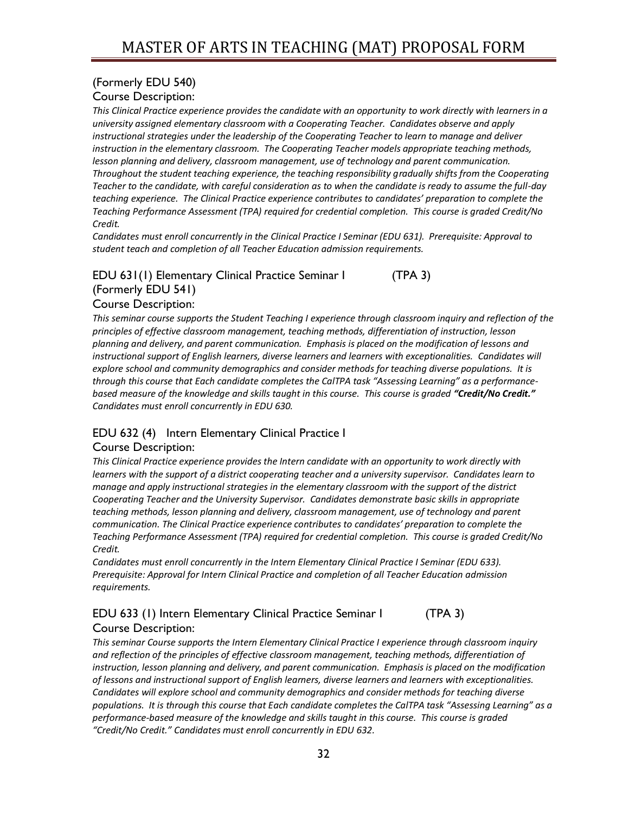# (Formerly EDU 540)

Course Description:

*This Clinical Practice experience provides the candidate with an opportunity to work directly with learners in a university assigned elementary classroom with a Cooperating Teacher. Candidates observe and apply instructional strategies under the leadership of the Cooperating Teacher to learn to manage and deliver instruction in the elementary classroom. The Cooperating Teacher models appropriate teaching methods, lesson planning and delivery, classroom management, use of technology and parent communication. Throughout the student teaching experience, the teaching responsibility gradually shifts from the Cooperating Teacher to the candidate, with careful consideration as to when the candidate is ready to assume the full-day teaching experience. The Clinical Practice experience contributes to candidates' preparation to complete the Teaching Performance Assessment (TPA) required for credential completion. This course is graded Credit/No Credit.*

*Candidates must enroll concurrently in the Clinical Practice I Seminar (EDU 631). Prerequisite: Approval to student teach and completion of all Teacher Education admission requirements.*

## EDU 631(1) Elementary Clinical Practice Seminar I (TPA 3) (Formerly EDU 541) Course Description:

*This seminar course supports the Student Teaching I experience through classroom inquiry and reflection of the principles of effective classroom management, teaching methods, differentiation of instruction, lesson planning and delivery, and parent communication. Emphasis is placed on the modification of lessons and instructional support of English learners, diverse learners and learners with exceptionalities. Candidates will explore school and community demographics and consider methods for teaching diverse populations. It is through this course that Each candidate completes the CalTPA task "Assessing Learning" as a performancebased measure of the knowledge and skills taught in this course. This course is graded "Credit/No Credit." Candidates must enroll concurrently in EDU 630.*

# EDU 632 (4) Intern Elementary Clinical Practice I

### Course Description:

*This Clinical Practice experience provides the Intern candidate with an opportunity to work directly with learners with the support of a district cooperating teacher and a university supervisor. Candidates learn to manage and apply instructional strategies in the elementary classroom with the support of the district Cooperating Teacher and the University Supervisor. Candidates demonstrate basic skills in appropriate teaching methods, lesson planning and delivery, classroom management, use of technology and parent communication. The Clinical Practice experience contributes to candidates' preparation to complete the Teaching Performance Assessment (TPA) required for credential completion. This course is graded Credit/No Credit.*

*Candidates must enroll concurrently in the Intern Elementary Clinical Practice I Seminar (EDU 633). Prerequisite: Approval for Intern Clinical Practice and completion of all Teacher Education admission requirements.*

## EDU 633 (1) Intern Elementary Clinical Practice Seminar I (TPA 3) Course Description:

*This seminar Course supports the Intern Elementary Clinical Practice I experience through classroom inquiry and reflection of the principles of effective classroom management, teaching methods, differentiation of instruction, lesson planning and delivery, and parent communication. Emphasis is placed on the modification of lessons and instructional support of English learners, diverse learners and learners with exceptionalities. Candidates will explore school and community demographics and consider methods for teaching diverse populations. It is through this course that Each candidate completes the CalTPA task "Assessing Learning" as a performance-based measure of the knowledge and skills taught in this course. This course is graded "Credit/No Credit." Candidates must enroll concurrently in EDU 632.*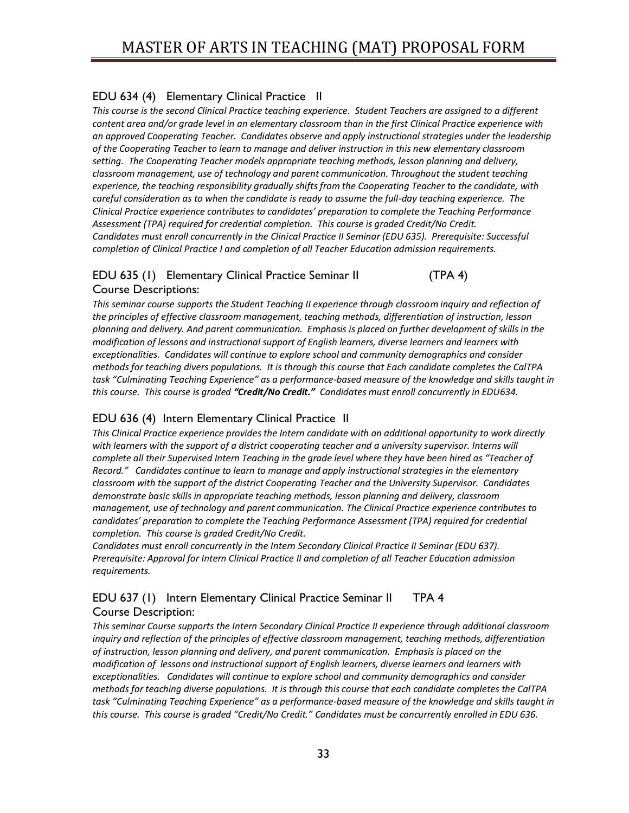# EDU 634 (4) Elementary Clinical Practice II

*This course is the second Clinical Practice teaching experience. Student Teachers are assigned to a different content area and/or grade level in an elementary classroom than in the first Clinical Practice experience with an approved Cooperating Teacher. Candidates observe and apply instructional strategies under the leadership of the Cooperating Teacher to learn to manage and deliver instruction in this new elementary classroom setting. The Cooperating Teacher models appropriate teaching methods, lesson planning and delivery, classroom management, use of technology and parent communication. Throughout the student teaching experience, the teaching responsibility gradually shifts from the Cooperating Teacher to the candidate, with careful consideration as to when the candidate is ready to assume the full-day teaching experience. The Clinical Practice experience contributes to candidates' preparation to complete the Teaching Performance Assessment (TPA) required for credential completion. This course is graded Credit/No Credit. Candidates must enroll concurrently in the Clinical Practice II Seminar (EDU 635). Prerequisite: Successful completion of Clinical Practice I and completion of all Teacher Education admission requirements.*

## EDU 635 (1) Elementary Clinical Practice Seminar II (TPA 4) Course Descriptions:

This seminar course supports the Student Teaching II experience through classroom inquiry and reflection of *the principles of effective classroom management, teaching methods, differentiation of instruction, lesson planning and delivery. And parent communication. Emphasis is placed on further development of skills in the modification of lessons and instructional support of English learners, diverse learners and learners with exceptionalities. Candidates will continue to explore school and community demographics and consider methods for teaching divers populations. It is through this course that Each candidate completes the CalTPA task "Culminating Teaching Experience" as a performance-based measure of the knowledge and skills taught in this course. This course is graded "Credit/No Credit." Candidates must enroll concurrently in EDU634.*

# EDU 636 (4) Intern Elementary Clinical Practice II

*This Clinical Practice experience provides the Intern candidate with an additional opportunity to work directly with learners with the support of a district cooperating teacher and a university supervisor. Interns will complete all their Supervised Intern Teaching in the grade level where they have been hired as "Teacher of Record." Candidates continue to learn to manage and apply instructional strategies in the elementary classroom with the support of the district Cooperating Teacher and the University Supervisor. Candidates demonstrate basic skills in appropriate teaching methods, lesson planning and delivery, classroom management, use of technology and parent communication. The Clinical Practice experience contributes to candidates' preparation to complete the Teaching Performance Assessment (TPA) required for credential completion. This course is graded Credit/No Credit.* 

*Candidates must enroll concurrently in the Intern Secondary Clinical Practice II Seminar (EDU 637). Prerequisite: Approval for Intern Clinical Practice II and completion of all Teacher Education admission requirements.*

# EDU 637 (1) Intern Elementary Clinical Practice Seminar II TPA 4 Course Description:

*This seminar Course supports the Intern Secondary Clinical Practice II experience through additional classroom inquiry and reflection of the principles of effective classroom management, teaching methods, differentiation of instruction, lesson planning and delivery, and parent communication. Emphasis is placed on the modification of lessons and instructional support of English learners, diverse learners and learners with exceptionalities. Candidates will continue to explore school and community demographics and consider methods for teaching diverse populations. It is through this course that each candidate completes the CalTPA task "Culminating Teaching Experience" as a performance-based measure of the knowledge and skills taught in this course. This course is graded "Credit/No Credit." Candidates must be concurrently enrolled in EDU 636.*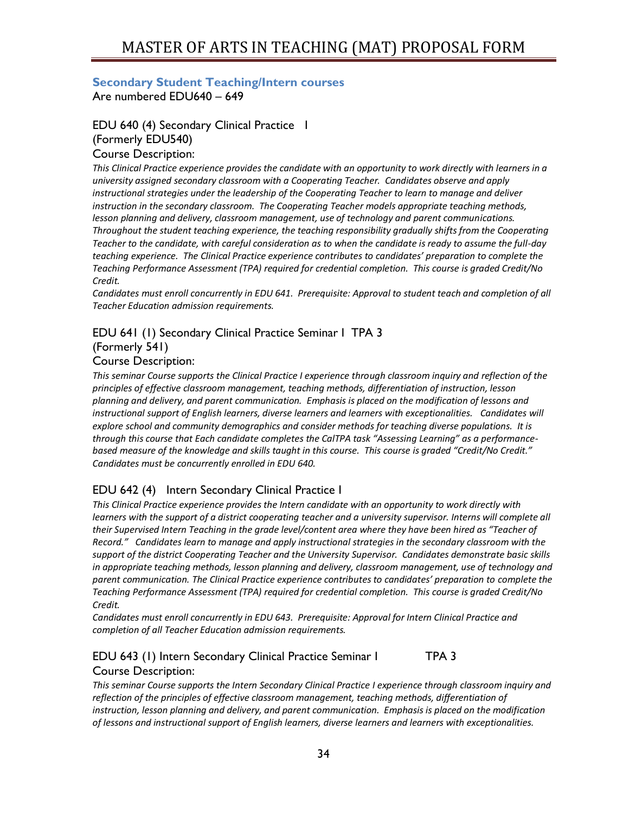### <span id="page-33-0"></span>**Secondary Student Teaching/Intern courses** Are numbered EDU640 – 649

# EDU 640 (4) Secondary Clinical Practice I (Formerly EDU540)

#### Course Description:

*This Clinical Practice experience provides the candidate with an opportunity to work directly with learners in a university assigned secondary classroom with a Cooperating Teacher. Candidates observe and apply instructional strategies under the leadership of the Cooperating Teacher to learn to manage and deliver instruction in the secondary classroom. The Cooperating Teacher models appropriate teaching methods, lesson planning and delivery, classroom management, use of technology and parent communications. Throughout the student teaching experience, the teaching responsibility gradually shifts from the Cooperating Teacher to the candidate, with careful consideration as to when the candidate is ready to assume the full-day teaching experience. The Clinical Practice experience contributes to candidates' preparation to complete the Teaching Performance Assessment (TPA) required for credential completion. This course is graded Credit/No Credit.*

*Candidates must enroll concurrently in EDU 641. Prerequisite: Approval to student teach and completion of all Teacher Education admission requirements.*

# EDU 641 (1) Secondary Clinical Practice Seminar I TPA 3

#### (Formerly 541) Course Description:

*This seminar Course supports the Clinical Practice I experience through classroom inquiry and reflection of the principles of effective classroom management, teaching methods, differentiation of instruction, lesson planning and delivery, and parent communication. Emphasis is placed on the modification of lessons and instructional support of English learners, diverse learners and learners with exceptionalities. Candidates will explore school and community demographics and consider methods for teaching diverse populations. It is through this course that Each candidate completes the CalTPA task "Assessing Learning" as a performancebased measure of the knowledge and skills taught in this course. This course is graded "Credit/No Credit." Candidates must be concurrently enrolled in EDU 640.*

## EDU 642 (4) Intern Secondary Clinical Practice I

*This Clinical Practice experience provides the Intern candidate with an opportunity to work directly with learners with the support of a district cooperating teacher and a university supervisor. Interns will complete all their Supervised Intern Teaching in the grade level/content area where they have been hired as "Teacher of Record." Candidates learn to manage and apply instructional strategies in the secondary classroom with the support of the district Cooperating Teacher and the University Supervisor. Candidates demonstrate basic skills in appropriate teaching methods, lesson planning and delivery, classroom management, use of technology and parent communication. The Clinical Practice experience contributes to candidates' preparation to complete the Teaching Performance Assessment (TPA) required for credential completion. This course is graded Credit/No Credit.*

*Candidates must enroll concurrently in EDU 643. Prerequisite: Approval for Intern Clinical Practice and completion of all Teacher Education admission requirements.*

### EDU 643 (1) Intern Secondary Clinical Practice Seminar I TPA 3 Course Description:

*This seminar Course supports the Intern Secondary Clinical Practice I experience through classroom inquiry and*  reflection of the principles of effective classroom management, teaching methods, differentiation of *instruction, lesson planning and delivery, and parent communication. Emphasis is placed on the modification of lessons and instructional support of English learners, diverse learners and learners with exceptionalities.*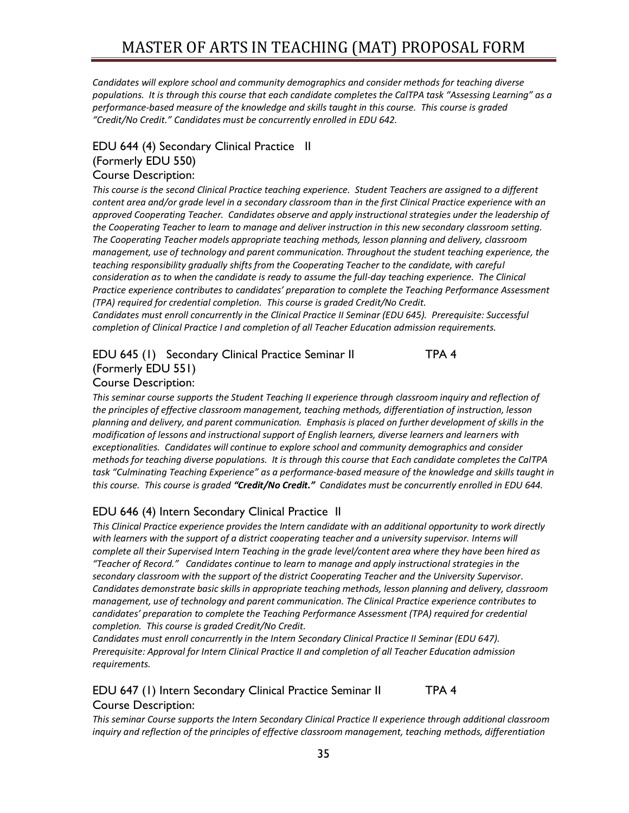*Candidates will explore school and community demographics and consider methods for teaching diverse populations. It is through this course that each candidate completes the CalTPA task "Assessing Learning" as a performance-based measure of the knowledge and skills taught in this course. This course is graded "Credit/No Credit." Candidates must be concurrently enrolled in EDU 642.*

# EDU 644 (4) Secondary Clinical Practice II (Formerly EDU 550)

# Course Description:

*This course is the second Clinical Practice teaching experience. Student Teachers are assigned to a different content area and/or grade level in a secondary classroom than in the first Clinical Practice experience with an approved Cooperating Teacher. Candidates observe and apply instructional strategies under the leadership of the Cooperating Teacher to learn to manage and deliver instruction in this new secondary classroom setting. The Cooperating Teacher models appropriate teaching methods, lesson planning and delivery, classroom management, use of technology and parent communication. Throughout the student teaching experience, the teaching responsibility gradually shifts from the Cooperating Teacher to the candidate, with careful consideration as to when the candidate is ready to assume the full-day teaching experience. The Clinical Practice experience contributes to candidates' preparation to complete the Teaching Performance Assessment (TPA) required for credential completion. This course is graded Credit/No Credit.*

*Candidates must enroll concurrently in the Clinical Practice II Seminar (EDU 645). Prerequisite: Successful completion of Clinical Practice I and completion of all Teacher Education admission requirements.*

# EDU 645 (1) Secondary Clinical Practice Seminar II TPA 4 (Formerly EDU 551)

#### Course Description:

*This seminar course supports the Student Teaching II experience through classroom inquiry and reflection of the principles of effective classroom management, teaching methods, differentiation of instruction, lesson planning and delivery, and parent communication. Emphasis is placed on further development of skills in the modification of lessons and instructional support of English learners, diverse learners and learners with exceptionalities. Candidates will continue to explore school and community demographics and consider methods for teaching diverse populations. It is through this course that Each candidate completes the CalTPA task "Culminating Teaching Experience" as a performance-based measure of the knowledge and skills taught in this course. This course is graded "Credit/No Credit." Candidates must be concurrently enrolled in EDU 644.*

## EDU 646 (4) Intern Secondary Clinical Practice II

*This Clinical Practice experience provides the Intern candidate with an additional opportunity to work directly with learners with the support of a district cooperating teacher and a university supervisor. Interns will complete all their Supervised Intern Teaching in the grade level/content area where they have been hired as "Teacher of Record." Candidates continue to learn to manage and apply instructional strategies in the secondary classroom with the support of the district Cooperating Teacher and the University Supervisor. Candidates demonstrate basic skills in appropriate teaching methods, lesson planning and delivery, classroom management, use of technology and parent communication. The Clinical Practice experience contributes to candidates' preparation to complete the Teaching Performance Assessment (TPA) required for credential completion. This course is graded Credit/No Credit.*

*Candidates must enroll concurrently in the Intern Secondary Clinical Practice II Seminar (EDU 647). Prerequisite: Approval for Intern Clinical Practice II and completion of all Teacher Education admission requirements.*

### EDU 647 (1) Intern Secondary Clinical Practice Seminar II TPA 4 Course Description:

*This seminar Course supports the Intern Secondary Clinical Practice II experience through additional classroom inquiry and reflection of the principles of effective classroom management, teaching methods, differentiation*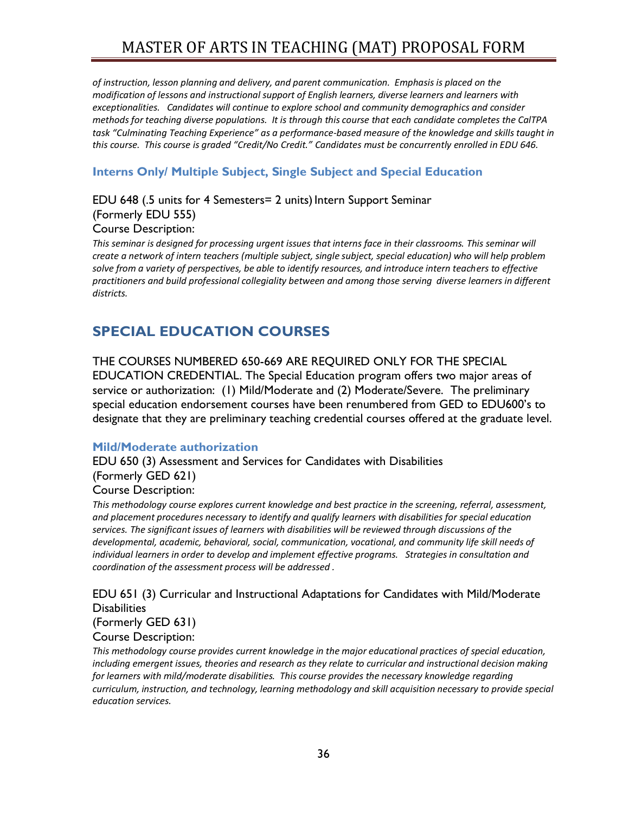*of instruction, lesson planning and delivery, and parent communication. Emphasis is placed on the modification of lessons and instructional support of English learners, diverse learners and learners with exceptionalities. Candidates will continue to explore school and community demographics and consider methods for teaching diverse populations. It is through this course that each candidate completes the CalTPA task "Culminating Teaching Experience" as a performance-based measure of the knowledge and skills taught in this course. This course is graded "Credit/No Credit." Candidates must be concurrently enrolled in EDU 646.*

# <span id="page-35-0"></span>**Interns Only/ Multiple Subject, Single Subject and Special Education**

EDU 648 (.5 units for 4 Semesters= 2 units) Intern Support Seminar (Formerly EDU 555) Course Description:

This seminar is designed for processing urgent issues that interns face in their classrooms. This seminar will *create a network of intern teachers (multiple subject, single subject, special education) who will help problem solve from a variety of perspectives, be able to identify resources, and introduce intern teachers to effective practitioners and build professional collegiality between and among those serving diverse learners in different districts.* 

# <span id="page-35-1"></span>**SPECIAL EDUCATION COURSES**

THE COURSES NUMBERED 650-669 ARE REQUIRED ONLY FOR THE SPECIAL EDUCATION CREDENTIAL. The Special Education program offers two major areas of service or authorization: (1) Mild/Moderate and (2) Moderate/Severe. The preliminary special education endorsement courses have been renumbered from GED to EDU600's to designate that they are preliminary teaching credential courses offered at the graduate level.

### <span id="page-35-2"></span>**Mild/Moderate authorization**

EDU 650 (3) Assessment and Services for Candidates with Disabilities (Formerly GED 621)

#### Course Description:

*This methodology course explores current knowledge and best practice in the screening, referral, assessment, and placement procedures necessary to identify and qualify learners with disabilities for special education services. The significant issues of learners with disabilities will be reviewed through discussions of the developmental, academic, behavioral, social, communication, vocational, and community life skill needs of individual learners in order to develop and implement effective programs. Strategies in consultation and coordination of the assessment process will be addressed .*

## EDU 651 (3) Curricular and Instructional Adaptations for Candidates with Mild/Moderate **Disabilities**

(Formerly GED 631)

# Course Description:

*This methodology course provides current knowledge in the major educational practices of special education, including emergent issues, theories and research as they relate to curricular and instructional decision making for learners with mild/moderate disabilities. This course provides the necessary knowledge regarding curriculum, instruction, and technology, learning methodology and skill acquisition necessary to provide special education services.*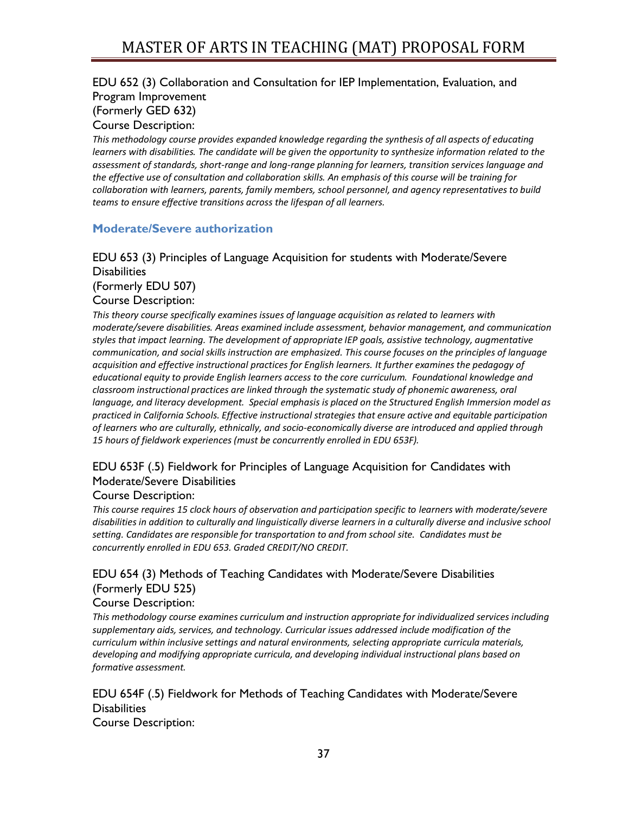# EDU 652 (3) Collaboration and Consultation for IEP Implementation, Evaluation, and Program Improvement (Formerly GED 632)

Course Description:

*This methodology course provides expanded knowledge regarding the synthesis of all aspects of educating learners with disabilities. The candidate will be given the opportunity to synthesize information related to the assessment of standards, short-range and long-range planning for learners, transition services language and the effective use of consultation and collaboration skills. An emphasis of this course will be training for collaboration with learners, parents, family members, school personnel, and agency representatives to build teams to ensure effective transitions across the lifespan of all learners.*

#### <span id="page-36-0"></span>**Moderate/Severe authorization**

## EDU 653 (3) Principles of Language Acquisition for students with Moderate/Severe **Disabilities** (Formerly EDU 507)

#### Course Description:

*This theory course specifically examines issues of language acquisition as related to learners with moderate/severe disabilities. Areas examined include assessment, behavior management, and communication styles that impact learning. The development of appropriate IEP goals, assistive technology, augmentative communication, and social skills instruction are emphasized. This course focuses on the principles of language acquisition and effective instructional practices for English learners. It further examines the pedagogy of educational equity to provide English learners access to the core curriculum. Foundational knowledge and classroom instructional practices are linked through the systematic study of phonemic awareness, oral language, and literacy development. Special emphasis is placed on the Structured English Immersion model as practiced in California Schools. Effective instructional strategies that ensure active and equitable participation of learners who are culturally, ethnically, and socio-economically diverse are introduced and applied through 15 hours of fieldwork experiences (must be concurrently enrolled in EDU 653F).* 

## EDU 653F (.5) Fieldwork for Principles of Language Acquisition for Candidates with Moderate/Severe Disabilities

#### Course Description:

*This course requires 15 clock hours of observation and participation specific to learners with moderate/severe disabilities in addition to culturally and linguistically diverse learners in a culturally diverse and inclusive school setting. Candidates are responsible for transportation to and from school site. Candidates must be concurrently enrolled in EDU 653. Graded CREDIT/NO CREDIT.*

# EDU 654 (3) Methods of Teaching Candidates with Moderate/Severe Disabilities (Formerly EDU 525)

### Course Description:

*This methodology course examines curriculum and instruction appropriate for individualized services including supplementary aids, services, and technology. Curricular issues addressed include modification of the curriculum within inclusive settings and natural environments, selecting appropriate curricula materials, developing and modifying appropriate curricula, and developing individual instructional plans based on formative assessment.*

EDU 654F (.5) Fieldwork for Methods of Teaching Candidates with Moderate/Severe **Disabilities** Course Description:

37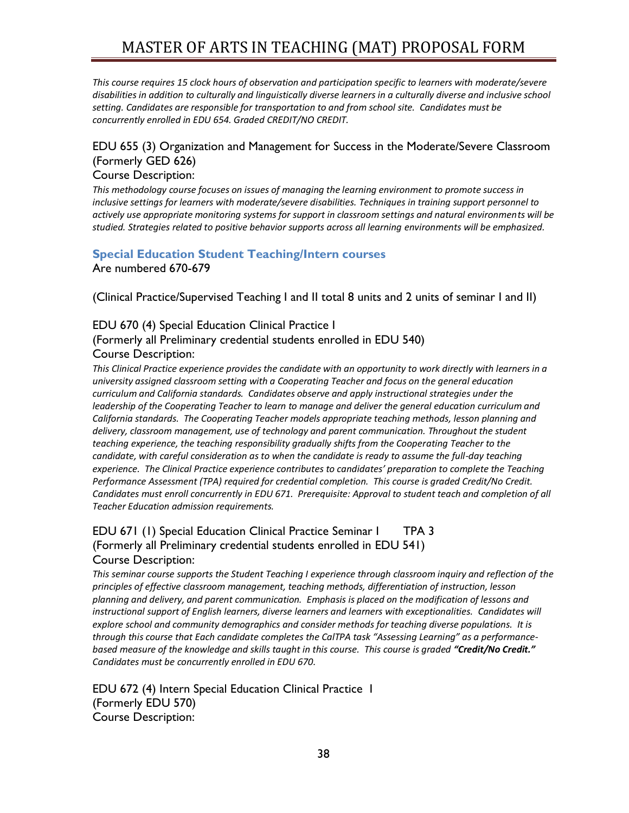*This course requires 15 clock hours of observation and participation specific to learners with moderate/severe disabilities in addition to culturally and linguistically diverse learners in a culturally diverse and inclusive school setting. Candidates are responsible for transportation to and from school site. Candidates must be concurrently enrolled in EDU 654. Graded CREDIT/NO CREDIT.*

#### EDU 655 (3) Organization and Management for Success in the Moderate/Severe Classroom (Formerly GED 626)

#### Course Description:

*This methodology course focuses on issues of managing the learning environment to promote success in inclusive settings for learners with moderate/severe disabilities. Techniques in training support personnel to actively use appropriate monitoring systems for support in classroom settings and natural environments will be studied. Strategies related to positive behavior supports across all learning environments will be emphasized.*

#### <span id="page-37-0"></span>**Special Education Student Teaching/Intern courses**  Are numbered 670-679

(Clinical Practice/Supervised Teaching I and II total 8 units and 2 units of seminar I and II)

## EDU 670 (4) Special Education Clinical Practice I

### (Formerly all Preliminary credential students enrolled in EDU 540) Course Description:

*This Clinical Practice experience provides the candidate with an opportunity to work directly with learners in a university assigned classroom setting with a Cooperating Teacher and focus on the general education curriculum and California standards. Candidates observe and apply instructional strategies under the leadership of the Cooperating Teacher to learn to manage and deliver the general education curriculum and California standards. The Cooperating Teacher models appropriate teaching methods, lesson planning and delivery, classroom management, use of technology and parent communication. Throughout the student teaching experience, the teaching responsibility gradually shifts from the Cooperating Teacher to the*  candidate, with careful consideration as to when the candidate is ready to assume the full-day teaching *experience. The Clinical Practice experience contributes to candidates' preparation to complete the Teaching Performance Assessment (TPA) required for credential completion. This course is graded Credit/No Credit. Candidates must enroll concurrently in EDU 671. Prerequisite: Approval to student teach and completion of all Teacher Education admission requirements.*

## EDU 671 (1) Special Education Clinical Practice Seminar I TPA 3 (Formerly all Preliminary credential students enrolled in EDU 541) Course Description:

*This seminar course supports the Student Teaching I experience through classroom inquiry and reflection of the principles of effective classroom management, teaching methods, differentiation of instruction, lesson planning and delivery, and parent communication. Emphasis is placed on the modification of lessons and instructional support of English learners, diverse learners and learners with exceptionalities. Candidates will explore school and community demographics and consider methods for teaching diverse populations. It is through this course that Each candidate completes the CalTPA task "Assessing Learning" as a performancebased measure of the knowledge and skills taught in this course. This course is graded "Credit/No Credit." Candidates must be concurrently enrolled in EDU 670.* 

EDU 672 (4) Intern Special Education Clinical Practice I (Formerly EDU 570) Course Description: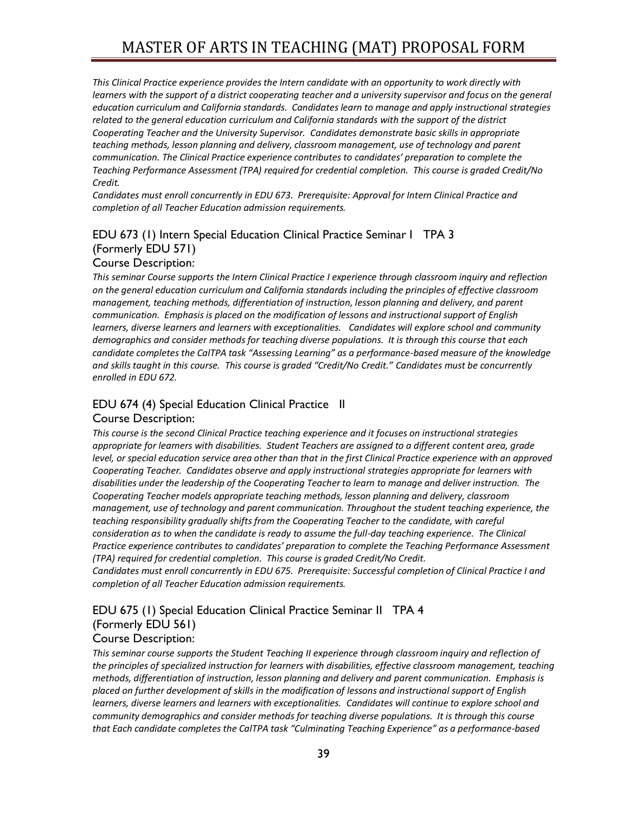*This Clinical Practice experience provides the Intern candidate with an opportunity to work directly with learners* with the support of a district cooperating teacher and a university supervisor and focus on the general *education curriculum and California standards. Candidates learn to manage and apply instructional strategies related to the general education curriculum and California standards with the support of the district Cooperating Teacher and the University Supervisor. Candidates demonstrate basic skills in appropriate teaching methods, lesson planning and delivery, classroom management, use of technology and parent communication. The Clinical Practice experience contributes to candidates' preparation to complete the Teaching Performance Assessment (TPA) required for credential completion. This course is graded Credit/No Credit.*

*Candidates must enroll concurrently in EDU 673. Prerequisite: Approval for Intern Clinical Practice and completion of all Teacher Education admission requirements.*

# EDU 673 (1) Intern Special Education Clinical Practice Seminar I TPA 3 (Formerly EDU 571)

#### Course Description:

*This seminar Course supports the Intern Clinical Practice I experience through classroom inquiry and reflection on the general education curriculum and California standards including the principles of effective classroom management, teaching methods, differentiation of instruction, lesson planning and delivery, and parent communication. Emphasis is placed on the modification of lessons and instructional support of English learners, diverse learners and learners with exceptionalities. Candidates will explore school and community demographics and consider methods for teaching diverse populations. It is through this course that each candidate completes the CalTPA task "Assessing Learning" as a performance-based measure of the knowledge and skills taught in this course. This course is graded "Credit/No Credit." Candidates must be concurrently enrolled in EDU 672.*

# EDU 674 (4) Special Education Clinical Practice II

#### Course Description:

*This course is the second Clinical Practice teaching experience and it focuses on instructional strategies appropriate for learners with disabilities. Student Teachers are assigned to a different content area, grade*  level, or special education service area other than that in the first Clinical Practice experience with an approved *Cooperating Teacher. Candidates observe and apply instructional strategies appropriate for learners with disabilities under the leadership of the Cooperating Teacher to learn to manage and deliver instruction. The Cooperating Teacher models appropriate teaching methods, lesson planning and delivery, classroom management, use of technology and parent communication. Throughout the student teaching experience, the teaching responsibility gradually shifts from the Cooperating Teacher to the candidate, with careful consideration as to when the candidate is ready to assume the full-day teaching experience. The Clinical Practice experience contributes to candidates' preparation to complete the Teaching Performance Assessment (TPA) required for credential completion. This course is graded Credit/No Credit.*

*Candidates must enroll concurrently in EDU 675. Prerequisite: Successful completion of Clinical Practice I and completion of all Teacher Education admission requirements.*

# EDU 675 (1) Special Education Clinical Practice Seminar II TPA 4 (Formerly EDU 561)

#### Course Description:

*This seminar course supports the Student Teaching II experience through classroom inquiry and reflection of the principles of specialized instruction for learners with disabilities, effective classroom management, teaching methods, differentiation of instruction, lesson planning and delivery and parent communication. Emphasis is placed on further development of skills in the modification of lessons and instructional support of English learners, diverse learners and learners with exceptionalities. Candidates will continue to explore school and community demographics and consider methods for teaching diverse populations. It is through this course that Each candidate completes the CalTPA task "Culminating Teaching Experience" as a performance-based*